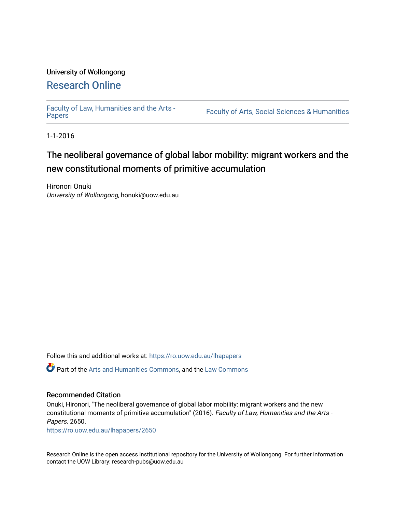## University of Wollongong [Research Online](https://ro.uow.edu.au/)

[Faculty of Law, Humanities and the Arts -](https://ro.uow.edu.au/lhapapers)

Faculty of Arts, Social Sciences & Humanities

1-1-2016

# The neoliberal governance of global labor mobility: migrant workers and the new constitutional moments of primitive accumulation

Hironori Onuki University of Wollongong, honuki@uow.edu.au

Follow this and additional works at: [https://ro.uow.edu.au/lhapapers](https://ro.uow.edu.au/lhapapers?utm_source=ro.uow.edu.au%2Flhapapers%2F2650&utm_medium=PDF&utm_campaign=PDFCoverPages) 

Part of the [Arts and Humanities Commons,](http://network.bepress.com/hgg/discipline/438?utm_source=ro.uow.edu.au%2Flhapapers%2F2650&utm_medium=PDF&utm_campaign=PDFCoverPages) and the [Law Commons](http://network.bepress.com/hgg/discipline/578?utm_source=ro.uow.edu.au%2Flhapapers%2F2650&utm_medium=PDF&utm_campaign=PDFCoverPages) 

#### Recommended Citation

Onuki, Hironori, "The neoliberal governance of global labor mobility: migrant workers and the new constitutional moments of primitive accumulation" (2016). Faculty of Law, Humanities and the Arts - Papers. 2650.

[https://ro.uow.edu.au/lhapapers/2650](https://ro.uow.edu.au/lhapapers/2650?utm_source=ro.uow.edu.au%2Flhapapers%2F2650&utm_medium=PDF&utm_campaign=PDFCoverPages)

Research Online is the open access institutional repository for the University of Wollongong. For further information contact the UOW Library: research-pubs@uow.edu.au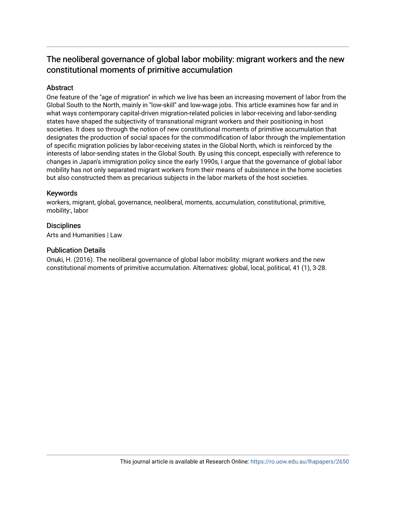## The neoliberal governance of global labor mobility: migrant workers and the new constitutional moments of primitive accumulation

## Abstract

One feature of the "age of migration" in which we live has been an increasing movement of labor from the Global South to the North, mainly in ''low-skill'' and low-wage jobs. This article examines how far and in what ways contemporary capital-driven migration-related policies in labor-receiving and labor-sending states have shaped the subjectivity of transnational migrant workers and their positioning in host societies. It does so through the notion of new constitutional moments of primitive accumulation that designates the production of social spaces for the commodification of labor through the implementation of specific migration policies by labor-receiving states in the Global North, which is reinforced by the interests of labor-sending states in the Global South. By using this concept, especially with reference to changes in Japan's immigration policy since the early 1990s, I argue that the governance of global labor mobility has not only separated migrant workers from their means of subsistence in the home societies but also constructed them as precarious subjects in the labor markets of the host societies.

## Keywords

workers, migrant, global, governance, neoliberal, moments, accumulation, constitutional, primitive, mobility:, labor

## **Disciplines**

Arts and Humanities | Law

## Publication Details

Onuki, H. (2016). The neoliberal governance of global labor mobility: migrant workers and the new constitutional moments of primitive accumulation. Alternatives: global, local, political, 41 (1), 3-28.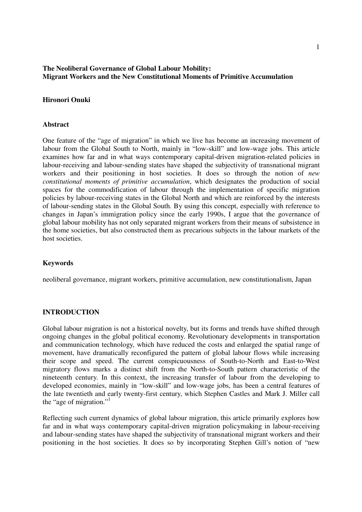## **The Neoliberal Governance of Global Labour Mobility: Migrant Workers and the New Constitutional Moments of Primitive Accumulation**

#### **Hironori Onuki**

#### **Abstract**

One feature of the "age of migration" in which we live has become an increasing movement of labour from the Global South to North, mainly in "low-skill" and low-wage jobs. This article examines how far and in what ways contemporary capital-driven migration-related policies in labour-receiving and labour-sending states have shaped the subjectivity of transnational migrant workers and their positioning in host societies. It does so through the notion of *new constitutional moments of primitive accumulation*, which designates the production of social spaces for the commodification of labour through the implementation of specific migration policies by labour-receiving states in the Global North and which are reinforced by the interests of labour-sending states in the Global South. By using this concept, especially with reference to changes in Japan's immigration policy since the early 1990s, I argue that the governance of global labour mobility has not only separated migrant workers from their means of subsistence in the home societies, but also constructed them as precarious subjects in the labour markets of the host societies.

#### **Keywords**

neoliberal governance, migrant workers, primitive accumulation, new constitutionalism, Japan

#### **INTRODUCTION**

Global labour migration is not a historical novelty, but its forms and trends have shifted through ongoing changes in the global political economy. Revolutionary developments in transportation and communication technology, which have reduced the costs and enlarged the spatial range of movement, have dramatically reconfigured the pattern of global labour flows while increasing their scope and speed. The current conspicuousness of South-to-North and East-to-West migratory flows marks a distinct shift from the North-to-South pattern characteristic of the nineteenth century. In this context, the increasing transfer of labour from the developing to developed economies, mainly in "low-skill" and low-wage jobs, has been a central features of the late twentieth and early twenty-first century, which Stephen Castles and Mark J. Miller call the "age of migration."<sup>1</sup>

Reflecting such current dynamics of global labour migration, this article primarily explores how far and in what ways contemporary capital-driven migration policymaking in labour-receiving and labour-sending states have shaped the subjectivity of transnational migrant workers and their positioning in the host societies. It does so by incorporating Stephen Gill's notion of "new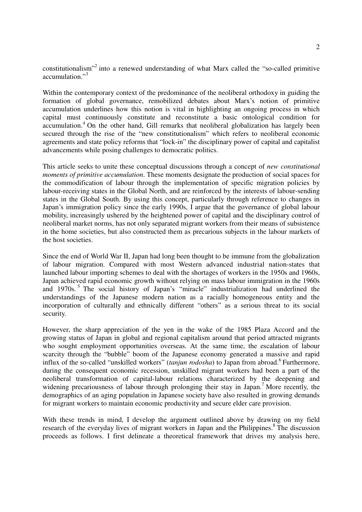constitutionalism"<sup>2</sup> into a renewed understanding of what Marx called the "so-called primitive accumulation."<sup>3</sup>

Within the contemporary context of the predominance of the neoliberal orthodoxy in guiding the formation of global governance, remobilized debates about Marx's notion of primitive accumulation underlines how this notion is vital in highlighting an ongoing process in which capital must continuously constitute and reconstitute a basic ontological condition for accumulation.<sup>4</sup> On the other hand, Gill remarks that neoliberal globalization has largely been secured through the rise of the "new constitutionalism" which refers to neoliberal economic agreements and state policy reforms that "lock-in" the disciplinary power of capital and capitalist advancements while posing challenges to democratic politics.

This article seeks to unite these conceptual discussions through a concept of *new constitutional moments of primitive accumulation*. These moments designate the production of social spaces for the commodification of labour through the implementation of specific migration policies by labour-receiving states in the Global North, and are reinforced by the interests of labour-sending states in the Global South. By using this concept, particularly through reference to changes in Japan's immigration policy since the early 1990s, I argue that the governance of global labour mobility, increasingly ushered by the heightened power of capital and the disciplinary control of neoliberal market norms, has not only separated migrant workers from their means of subsistence in the home societies, but also constructed them as precarious subjects in the labour markets of the host societies.

Since the end of World War II, Japan had long been thought to be immune from the globalization of labour migration. Compared with most Western advanced industrial nation-states that launched labour importing schemes to deal with the shortages of workers in the 1950s and 1960s, Japan achieved rapid economic growth without relying on mass labour immigration in the 1960s and 1970s.<sup>5</sup> The social history of Japan's "miracle" industrialization had underlined the understandings of the Japanese modern nation as a racially homogeneous entity and the incorporation of culturally and ethnically different "others" as a serious threat to its social security.

However, the sharp appreciation of the yen in the wake of the 1985 Plaza Accord and the growing status of Japan in global and regional capitalism around that period attracted migrants who sought employment opportunities overseas. At the same time, the escalation of labour scarcity through the "bubble" boom of the Japanese economy generated a massive and rapid influx of the so-called "unskilled workers" (*tanjun rodosha*) to Japan from abroad.<sup>6</sup> Furthermore, during the consequent economic recession, unskilled migrant workers had been a part of the neoliberal transformation of capital-labour relations characterized by the deepening and widening precariousness of labour through prolonging their stay in Japan.<sup>7</sup> More recently, the demographics of an aging population in Japanese society have also resulted in growing demands for migrant workers to maintain economic productivity and secure elder care provision.

With these trends in mind, I develop the argument outlined above by drawing on my field research of the everyday lives of migrant workers in Japan and the Philippines.<sup>8</sup> The discussion proceeds as follows. I first delineate a theoretical framework that drives my analysis here,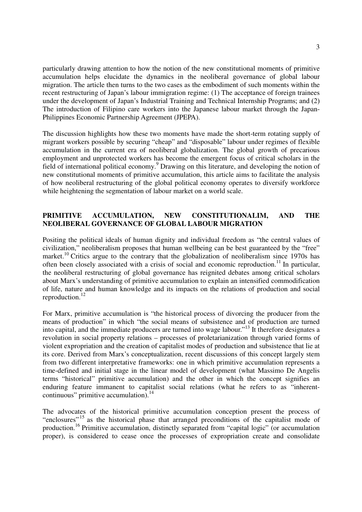particularly drawing attention to how the notion of the new constitutional moments of primitive accumulation helps elucidate the dynamics in the neoliberal governance of global labour migration. The article then turns to the two cases as the embodiment of such moments within the recent restructuring of Japan's labour immigration regime: (1) The acceptance of foreign trainees under the development of Japan's Industrial Training and Technical Internship Programs; and (2) The introduction of Filipino care workers into the Japanese labour market through the Japan-Philippines Economic Partnership Agreement (JPEPA).

The discussion highlights how these two moments have made the short-term rotating supply of migrant workers possible by securing "cheap" and "disposable" labour under regimes of flexible accumulation in the current era of neoliberal globalization. The global growth of precarious employment and unprotected workers has become the emergent focus of critical scholars in the field of international political economy.<sup>9</sup> Drawing on this literature, and developing the notion of new constitutional moments of primitive accumulation, this article aims to facilitate the analysis of how neoliberal restructuring of the global political economy operates to diversify workforce while heightening the segmentation of labour market on a world scale.

## **PRIMITIVE ACCUMULATION, NEW CONSTITUTIONALIM, AND THE NEOLIBERAL GOVERNANCE OF GLOBAL LABOUR MIGRATION**

Positing the political ideals of human dignity and individual freedom as "the central values of civilization," neoliberalism proposes that human wellbeing can be best guaranteed by the "free" market.<sup>10</sup> Critics argue to the contrary that the globalization of neoliberalism since 1970s has often been closely associated with a crisis of social and economic reproduction.<sup>11</sup> In particular, the neoliberal restructuring of global governance has reignited debates among critical scholars about Marx's understanding of primitive accumulation to explain an intensified commodification of life, nature and human knowledge and its impacts on the relations of production and social reproduction.<sup>12</sup>

For Marx, primitive accumulation is "the historical process of divorcing the producer from the means of production" in which "the social means of subsistence and of production are turned into capital, and the immediate producers are turned into wage labour."<sup>13</sup> It therefore designates a revolution in social property relations – processes of proletarianization through varied forms of violent expropriation and the creation of capitalist modes of production and subsistence that lie at its core. Derived from Marx's conceptualization, recent discussions of this concept largely stem from two different interpretative frameworks: one in which primitive accumulation represents a time-defined and initial stage in the linear model of development (what Massimo De Angelis terms "historical" primitive accumulation) and the other in which the concept signifies an enduring feature immanent to capitalist social relations (what he refers to as "inherentcontinuous" primitive accumulation).<sup>14</sup>

The advocates of the historical primitive accumulation conception present the process of "enclosures" <sup>15</sup> as the historical phase that arranged preconditions of the capitalist mode of production.<sup>16</sup> Primitive accumulation, distinctly separated from "capital logic" (or accumulation proper), is considered to cease once the processes of expropriation create and consolidate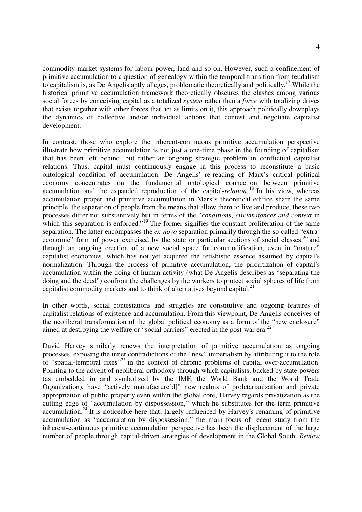commodity market systems for labour-power, land and so on. However, such a confinement of primitive accumulation to a question of genealogy within the temporal transition from feudalism to capitalism is, as De Angelis aptly alleges, problematic theoretically and politically.<sup>17</sup> While the historical primitive accumulation framework theoretically obscures the clashes among various social forces by conceiving capital as a totalized *system* rather than a *force* with totalizing drives that exists together with other forces that act as limits on it, this approach politically downplays the dynamics of collective and/or individual actions that contest and negotiate capitalist development.

In contrast, those who explore the inherent-continuous primitive accumulation perspective illustrate how primitive accumulation is not just a one-time phase in the founding of capitalism that has been left behind, but rather an ongoing strategic problem in conflictual capitalist relations. Thus, capital must continuously engage in this process to reconstitute a basic ontological condition of accumulation. De Angelis' re-reading of Marx's critical political economy concentrates on the fundamental ontological connection between primitive accumulation and the expanded reproduction of the capital-*relation*. <sup>18</sup> In his view, whereas accumulation proper and primitive accumulation in Marx's theoretical edifice share the same principle, the separation of people from the means that allow them to live and produce, these two processes differ not substantively but in terms of the "*conditions*, *circumstances and context* in which this separation is enforced."<sup>19</sup> The former signifies the constant proliferation of the same separation. The latter encompasses the *ex-novo* separation primarily through the so-called "extraeconomic" form of power exercised by the state or particular sections of social classes,  $20$  and through an ongoing creation of a new social space for commodification, even in "mature" capitalist economies, which has not yet acquired the fetishistic essence assumed by capital's normalization. Through the process of primitive accumulation, the prioritization of capital's accumulation within the doing of human activity (what De Angelis describes as "separating the doing and the deed") confront the challenges by the workers to protect social spheres of life from capitalist commodity markets and to think of alternatives beyond capital.<sup>21</sup>

In other words, social contestations and struggles are constitutive and ongoing features of capitalist relations of existence and accumulation. From this viewpoint, De Angelis conceives of the neoliberal transformation of the global political economy as a form of the "new enclosure" aimed at destroying the welfare or "social barriers" erected in the post-war era.<sup>22</sup>

David Harvey similarly renews the interpretation of primitive accumulation as ongoing processes, exposing the inner contradictions of the "new" imperialism by attributing it to the role of "spatial-temporal fixes"<sup>23</sup> in the context of chronic problems of capital over-accumulation. Pointing to the advent of neoliberal orthodoxy through which capitalists, backed by state powers (as embedded in and symbolized by the IMF, the World Bank and the World Trade Organization), have "actively manufacture[d]" new realms of proletarianization and private appropriation of public property even within the global core, Harvey regards privatization as the cutting edge of "accumulation by dispossession," which he substitutes for the term primitive accumulation.<sup>24</sup> It is noticeable here that, largely influenced by Harvey's renaming of primitive accumulation as "accumulation by dispossession," the main focus of recent study from the inherent-continuous primitive accumulation perspective has been the displacement of the large number of people through capital-driven strategies of development in the Global South. *Review*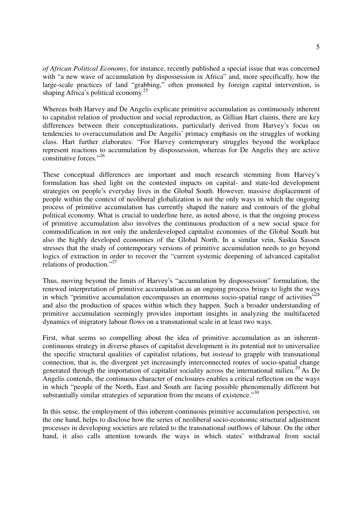*of African Political Economy*, for instance, recently published a special issue that was concerned with "a new wave of accumulation by dispossession in Africa" and, more specifically, how the large-scale practices of land "grabbing," often promoted by foreign capital intervention, is shaping Africa's political economy. $^{25}$ 

Whereas both Harvey and De Angelis explicate primitive accumulation as continuously inherent to capitalist relation of production and social reproduction, as Gillian Hart claims, there are key differences between their conceptualizations, particularly derived from Harvey's focus on tendencies to overaccumulation and De Angelis' primacy emphasis on the struggles of working class. Hart further elaborates: "For Harvey contemporary struggles beyond the workplace represent reactions to accumulation by dispossession, whereas for De Angelis they are active constitutive forces."<sup>26</sup>

These conceptual differences are important and much research stemming from Harvey's formulation has shed light on the contested impacts on capital- and state-led development strategies on people's everyday lives in the Global South. However, massive displacement of people within the context of neoliberal globalization is not the only ways in which the ongoing process of primitive accumulation has currently shaped the nature and contours of the global political economy. What is crucial to underline here, as noted above, is that the ongoing process of primitive accumulation also involves the continuous production of a new social space for commodification in not only the underdeveloped capitalist economies of the Global South but also the highly developed economies of the Global North. In a similar vein, Saskia Sassen stresses that the study of contemporary versions of primitive accumulation needs to go beyond logics of extraction in order to recover the "current systemic deepening of advanced capitalist relations of production."<sup>27</sup>

Thus, moving beyond the limits of Harvey's "accumulation by dispossession" formulation, the renewed interpretation of primitive accumulation as an ongoing process brings to light the ways in which "primitive accumulation encompasses an enormous socio-spatial range of activities"<sup>28</sup> and also the production of spaces within which they happen. Such a broader understanding of primitive accumulation seemingly provides important insights in analyzing the multifaceted dynamics of migratory labour flows on a transnational scale in at least two ways.

First, what seems so compelling about the idea of primitive accumulation as an inherentcontinuous strategy in diverse phases of capitalist development is its potential not to universalize the specific structural qualities of capitalist relations, but *instead* to grapple with transnational connection, that is, the divergent yet increasingly interconnected routes of socio-spatial change generated through the importation of capitalist sociality across the international milieu.<sup>29</sup> As De Angelis contends, the continuous character of enclosures enables a critical reflection on the ways in which "people of the North, East and South are facing possible phenomenally different but substantially similar strategies of separation from the means of existence."<sup>30</sup>

In this sense, the employment of this inherent-continuous primitive accumulation perspective, on the one hand, helps to disclose how the series of neoliberal socio-economic structural adjustment processes in developing societies are related to the transnational outflows of labour. On the other hand, it also calls attention towards the ways in which states' withdrawal from social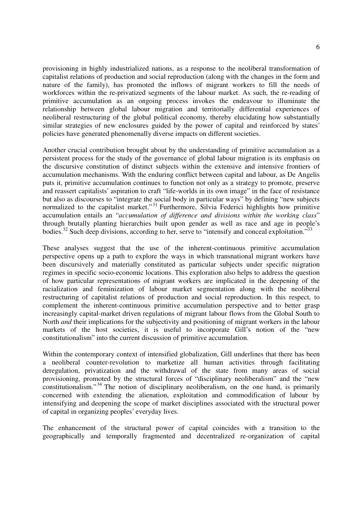provisioning in highly industrialized nations, as a response to the neoliberal transformation of capitalist relations of production and social reproduction (along with the changes in the form and nature of the family), has promoted the inflows of migrant workers to fill the needs of workforces within the re-privatized segments of the labour market. As such, the re-reading of primitive accumulation as an ongoing process invokes the endeavour to illuminate the relationship between global labour migration and territorially differential experiences of neoliberal restructuring of the global political economy, thereby elucidating how substantially similar strategies of new enclosures guided by the power of capital and reinforced by states' policies have generated phenomenally diverse impacts on different societies.

Another crucial contribution brought about by the understanding of primitive accumulation as a persistent process for the study of the governance of global labour migration is its emphasis on the discursive constitution of distinct subjects within the extensive and intensive frontiers of accumulation mechanisms. With the enduring conflict between capital and labour, as De Angelis puts it, primitive accumulation continues to function not only as a strategy to promote, preserve and reassert capitalists' aspiration to craft "life-worlds in its own image" in the face of resistance but also as discourses to "integrate the social body in particular ways" by defining "new subjects normalized to the capitalist market."<sup>31</sup> Furthermore, Silvia Federici highlights how primitive accumulation entails an "*accumulation of difference and divisions within the working class*" through brutally planting hierarchies built upon gender as well as race and age in people's bodies.<sup>32</sup> Such deep divisions, according to her, serve to "intensify and conceal exploitation."<sup>33</sup>

These analyses suggest that the use of the inherent-continuous primitive accumulation perspective opens up a path to explore the ways in which transnational migrant workers have been discursively and materially constituted as particular subjects under specific migration regimes in specific socio-economic locations. This exploration also helps to address the question of how particular representations of migrant workers are implicated in the deepening of the racialization and feminization of labour market segmentation along with the neoliberal restructuring of capitalist relations of production and social reproduction. In this respect, to complement the inherent-continuous primitive accumulation perspective and to better grasp increasingly capital-market driven regulations of migrant labour flows from the Global South to North *and* their implications for the subjectivity and positioning of migrant workers in the labour markets of the host societies, it is useful to incorporate Gill's notion of the "new constitutionalism" into the current discussion of primitive accumulation.

Within the contemporary context of intensified globalization, Gill underlines that there has been a neoliberal counter-revolution to marketize all human activities through facilitating deregulation, privatization and the withdrawal of the state from many areas of social provisioning, promoted by the structural forces of "disciplinary neoliberalism" and the "new constitutionalism."<sup>34</sup> The notion of disciplinary neoliberalism, on the one hand, is primarily concerned with extending the alienation, exploitation and commodification of labour by intensifying and deepening the scope of market disciplines associated with the structural power of capital in organizing peoples' everyday lives.

The enhancement of the structural power of capital coincides with a transition to the geographically and temporally fragmented and decentralized re-organization of capital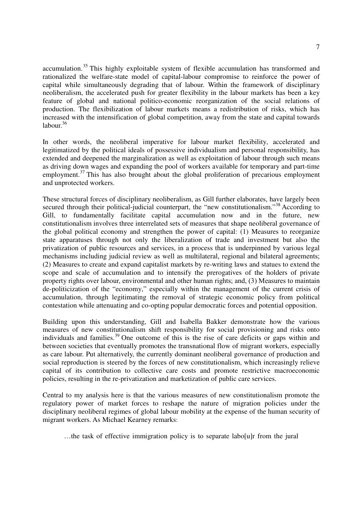accumulation.<sup>35</sup> This highly exploitable system of flexible accumulation has transformed and rationalized the welfare-state model of capital-labour compromise to reinforce the power of capital while simultaneously degrading that of labour. Within the framework of disciplinary neoliberalism, the accelerated push for greater flexibility in the labour markets has been a key feature of global and national politico-economic reorganization of the social relations of production. The flexibilization of labour markets means a redistribution of risks, which has increased with the intensification of global competition, away from the state and capital towards labour.<sup>36</sup>

In other words, the neoliberal imperative for labour market flexibility, accelerated and legitimatized by the political ideals of possessive individualism and personal responsibility, has extended and deepened the marginalization as well as exploitation of labour through such means as driving down wages and expanding the pool of workers available for temporary and part-time employment.<sup>37</sup> This has also brought about the global proliferation of precarious employment and unprotected workers.

These structural forces of disciplinary neoliberalism, as Gill further elaborates, have largely been secured through their political-judicial counterpart, the "new constitutionalism."<sup>38</sup> According to Gill, to fundamentally facilitate capital accumulation now and in the future, new constitutionalism involves three interrelated sets of measures that shape neoliberal governance of the global political economy and strengthen the power of capital: (1) Measures to reorganize state apparatuses through not only the liberalization of trade and investment but also the privatization of public resources and services, in a process that is underpinned by various legal mechanisms including judicial review as well as multilateral, regional and bilateral agreements; (2) Measures to create and expand capitalist markets by re-writing laws and statues to extend the scope and scale of accumulation and to intensify the prerogatives of the holders of private property rights over labour, environmental and other human rights; and, (3) Measures to maintain de-politicization of the "economy," especially within the management of the current crisis of accumulation, through legitimating the removal of strategic economic policy from political contestation while attenuating and co-opting popular democratic forces and potential opposition.

Building upon this understanding, Gill and Isabella Bakker demonstrate how the various measures of new constitutionalism shift responsibility for social provisioning and risks onto individuals and families.<sup>39</sup> One outcome of this is the rise of care deficits or gaps within and between societies that eventually promotes the transnational flow of migrant workers, especially as care labour. Put alternatively, the currently dominant neoliberal governance of production and social reproduction is steered by the forces of new constitutionalism, which increasingly relieve capital of its contribution to collective care costs and promote restrictive macroeconomic policies, resulting in the re-privatization and marketization of public care services.

Central to my analysis here is that the various measures of new constitutionalism promote the regulatory power of market forces to reshape the nature of migration policies under the disciplinary neoliberal regimes of global labour mobility at the expense of the human security of migrant workers. As Michael Kearney remarks:

...the task of effective immigration policy is to separate labolulr from the jural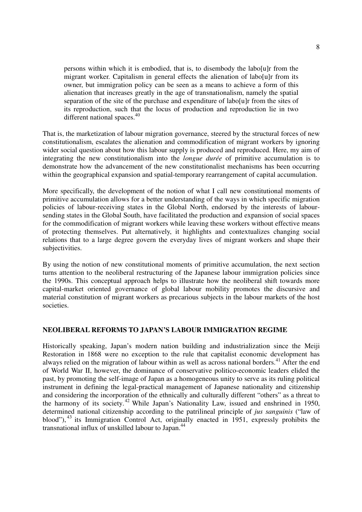persons within which it is embodied, that is, to disembody the labo[u]r from the migrant worker. Capitalism in general effects the alienation of labo[u]r from its owner, but immigration policy can be seen as a means to achieve a form of this alienation that increases greatly in the age of transnationalism, namely the spatial separation of the site of the purchase and expenditure of labo[u]r from the sites of its reproduction, such that the locus of production and reproduction lie in two different national spaces.<sup>40</sup>

That is, the marketization of labour migration governance, steered by the structural forces of new constitutionalism, escalates the alienation and commodification of migrant workers by ignoring wider social question about how this labour supply is produced and reproduced. Here, my aim of integrating the new constitutionalism into the *longue durée* of primitive accumulation is to demonstrate how the advancement of the new constitutionalist mechanisms has been occurring within the geographical expansion and spatial-temporary rearrangement of capital accumulation.

More specifically, the development of the notion of what I call new constitutional moments of primitive accumulation allows for a better understanding of the ways in which specific migration policies of labour-receiving states in the Global North, endorsed by the interests of laboursending states in the Global South, have facilitated the production and expansion of social spaces for the commodification of migrant workers while leaving these workers without effective means of protecting themselves. Put alternatively, it highlights and contextualizes changing social relations that to a large degree govern the everyday lives of migrant workers and shape their subjectivities.

By using the notion of new constitutional moments of primitive accumulation, the next section turns attention to the neoliberal restructuring of the Japanese labour immigration policies since the 1990s. This conceptual approach helps to illustrate how the neoliberal shift towards more capital-market oriented governance of global labour mobility promotes the discursive and material constitution of migrant workers as precarious subjects in the labour markets of the host societies.

## **NEOLIBERAL REFORMS TO JAPAN'S LABOUR IMMIGRATION REGIME**

Historically speaking, Japan's modern nation building and industrialization since the Meiji Restoration in 1868 were no exception to the rule that capitalist economic development has always relied on the migration of labour within as well as across national borders.<sup>41</sup> After the end of World War II, however, the dominance of conservative politico-economic leaders elided the past, by promoting the self-image of Japan as a homogeneous unity to serve as its ruling political instrument in defining the legal-practical management of Japanese nationality and citizenship and considering the incorporation of the ethnically and culturally different "others" as a threat to the harmony of its society.<sup>42</sup> While Japan's Nationality Law, issued and enshrined in 1950, determined national citizenship according to the patrilineal principle of *jus sanguinis* ("law of blood"), <sup>43</sup> its Immigration Control Act, originally enacted in 1951, expressly prohibits the transnational influx of unskilled labour to Japan.<sup>44</sup>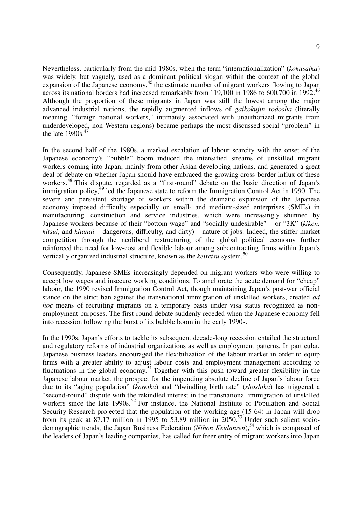Nevertheless, particularly from the mid-1980s, when the term "internationalization" (*kokusaika*) was widely, but vaguely, used as a dominant political slogan within the context of the global expansion of the Japanese economy,<sup>45</sup> the estimate number of migrant workers flowing to Japan across its national borders had increased remarkably from 119,100 in 1986 to 600,700 in 1992.<sup>46</sup> Although the proportion of these migrants in Japan was still the lowest among the major advanced industrial nations, the rapidly augmented inflows of *gaikokujin rodosha* (literally meaning, "foreign national workers," intimately associated with unauthorized migrants from underdeveloped, non-Western regions) became perhaps the most discussed social "problem" in the late  $1980s$ .<sup>47</sup>

In the second half of the 1980s, a marked escalation of labour scarcity with the onset of the Japanese economy's "bubble" boom induced the intensified streams of unskilled migrant workers coming into Japan, mainly from other Asian developing nations, and generated a great deal of debate on whether Japan should have embraced the growing cross-border influx of these workers.<sup>48</sup> This dispute, regarded as a "first-round" debate on the basic direction of Japan's immigration policy, $49$  led the Japanese state to reform the Immigration Control Act in 1990. The severe and persistent shortage of workers within the dramatic expansion of the Japanese economy imposed difficulty especially on small- and medium-sized enterprises (SMEs) in manufacturing, construction and service industries, which were increasingly shunned by Japanese workers because of their "bottom-wage" and "socially undesirable" – or "3K" (*kiken, kitsui*, and *kitanai* – dangerous, difficulty, and dirty) – nature of jobs. Indeed, the stiffer market competition through the neoliberal restructuring of the global political economy further reinforced the need for low-cost and flexible labour among subcontracting firms within Japan's vertically organized industrial structure, known as the *keiretsu* system.<sup>50</sup>

Consequently, Japanese SMEs increasingly depended on migrant workers who were willing to accept low wages and insecure working conditions. To ameliorate the acute demand for "cheap" labour, the 1990 revised Immigration Control Act, though maintaining Japan's post-war official stance on the strict ban against the transnational immigration of unskilled workers, created *ad hoc* means of recruiting migrants on a temporary basis under visa status recognized as nonemployment purposes. The first-round debate suddenly receded when the Japanese economy fell into recession following the burst of its bubble boom in the early 1990s.

In the 1990s, Japan's efforts to tackle its subsequent decade-long recession entailed the structural and regulatory reforms of industrial organizations as well as employment patterns. In particular, Japanese business leaders encouraged the flexibilization of the labour market in order to equip firms with a greater ability to adjust labour costs and employment management according to fluctuations in the global economy.<sup>51</sup> Together with this push toward greater flexibility in the Japanese labour market, the prospect for the impending absolute decline of Japan's labour force due to its "aging population" (*koreika*) and "dwindling birth rate" (*shoshika*) has triggered a "second-round" dispute with the rekindled interest in the transnational immigration of unskilled workers since the late  $1990s$ <sup>52</sup> For instance, the National Institute of Population and Social Security Research projected that the population of the working-age (15-64) in Japan will drop from its peak at 87.17 million in 1995 to 53.89 million in 2050.<sup>53</sup> Under such salient sociodemographic trends, the Japan Business Federation (*Nihon Keidanren*),<sup>54</sup> which is composed of the leaders of Japan's leading companies, has called for freer entry of migrant workers into Japan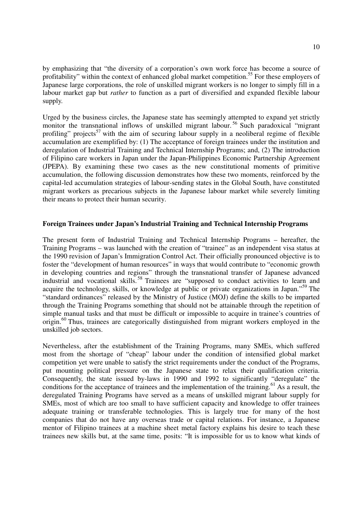by emphasizing that "the diversity of a corporation's own work force has become a source of profitability" within the context of enhanced global market competition.<sup>55</sup> For these employers of Japanese large corporations, the role of unskilled migrant workers is no longer to simply fill in a labour market gap but *rather* to function as a part of diversified and expanded flexible labour supply.

Urged by the business circles, the Japanese state has seemingly attempted to expand yet strictly monitor the transnational inflows of unskilled migrant labour.<sup>56</sup> Such paradoxical "migrant" profiling" projects<sup>57</sup> with the aim of securing labour supply in a neoliberal regime of flexible accumulation are exemplified by: (1) The acceptance of foreign trainees under the institution and deregulation of Industrial Training and Technical Internship Programs; and, (2) The introduction of Filipino care workers in Japan under the Japan-Philippines Economic Partnership Agreement (JPEPA). By examining these two cases as the new constitutional moments of primitive accumulation, the following discussion demonstrates how these two moments, reinforced by the capital-led accumulation strategies of labour-sending states in the Global South, have constituted migrant workers as precarious subjects in the Japanese labour market while severely limiting their means to protect their human security.

## **Foreign Trainees under Japan's Industrial Training and Technical Internship Programs**

The present form of Industrial Training and Technical Internship Programs – hereafter, the Training Programs – was launched with the creation of "trainee" as an independent visa status at the 1990 revision of Japan's Immigration Control Act. Their officially pronounced objective is to foster the "development of human resources" in ways that would contribute to "economic growth in developing countries and regions" through the transnational transfer of Japanese advanced industrial and vocational skills.<sup>58</sup> Trainees are "supposed to conduct activities to learn and acquire the technology, skills, or knowledge at public or private organizations in Japan."<sup>59</sup> The "standard ordinances" released by the Ministry of Justice (MOJ) define the skills to be imparted through the Training Programs something that should not be attainable through the repetition of simple manual tasks and that must be difficult or impossible to acquire in trainee's countries of origin.<sup>60</sup> Thus, trainees are categorically distinguished from migrant workers employed in the unskilled job sectors.

Nevertheless, after the establishment of the Training Programs, many SMEs, which suffered most from the shortage of "cheap" labour under the condition of intensified global market competition yet were unable to satisfy the strict requirements under the conduct of the Programs, put mounting political pressure on the Japanese state to relax their qualification criteria. Consequently, the state issued by-laws in 1990 and 1992 to significantly "deregulate" the conditions for the acceptance of trainees and the implementation of the training.<sup>61</sup> As a result, the deregulated Training Programs have served as a means of unskilled migrant labour supply for SMEs, most of which are too small to have sufficient capacity and knowledge to offer trainees adequate training or transferable technologies. This is largely true for many of the host companies that do not have any overseas trade or capital relations. For instance, a Japanese mentor of Filipino trainees at a machine sheet metal factory explains his desire to teach these trainees new skills but, at the same time, posits: "It is impossible for us to know what kinds of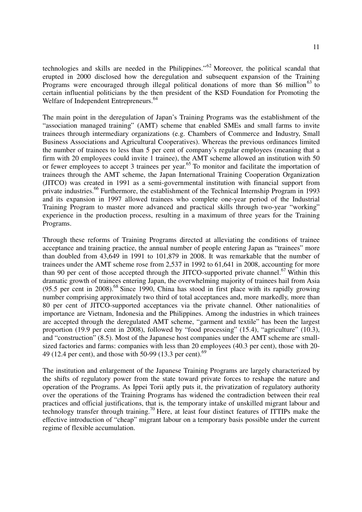technologies and skills are needed in the Philippines."<sup>62</sup> Moreover, the political scandal that erupted in 2000 disclosed how the deregulation and subsequent expansion of the Training Programs were encouraged through illegal political donations of more than  $$6 \text{ million}^{63}$  to certain influential politicians by the then president of the KSD Foundation for Promoting the Welfare of Independent Entrepreneurs.<sup>64</sup>

The main point in the deregulation of Japan's Training Programs was the establishment of the "association managed training" (AMT) scheme that enabled SMEs and small farms to invite trainees through intermediary organizations (e.g. Chambers of Commerce and Industry, Small Business Associations and Agricultural Cooperatives). Whereas the previous ordinances limited the number of trainees to less than 5 per cent of company's regular employees (meaning that a firm with 20 employees could invite 1 trainee), the AMT scheme allowed an institution with 50 or fewer employees to accept 3 trainees per year.<sup>65</sup> To monitor and facilitate the importation of trainees through the AMT scheme, the Japan International Training Cooperation Organization (JITCO) was created in 1991 as a semi-governmental institution with financial support from private industries.<sup>66</sup> Furthermore, the establishment of the Technical Internship Program in 1993 and its expansion in 1997 allowed trainees who complete one-year period of the Industrial Training Program to master more advanced and practical skills through two-year "working" experience in the production process, resulting in a maximum of three years for the Training Programs.

Through these reforms of Training Programs directed at alleviating the conditions of trainee acceptance and training practice, the annual number of people entering Japan as "trainees" more than doubled from 43,649 in 1991 to 101,879 in 2008. It was remarkable that the number of trainees under the AMT scheme rose from 2,537 in 1992 to 61,641 in 2008, accounting for more than 90 per cent of those accepted through the JITCO-supported private channel.<sup>67</sup> Within this dramatic growth of trainees entering Japan, the overwhelming majority of trainees hail from Asia  $(95.5 \text{ per cent in } 2008)$ .<sup>68</sup> Since 1990, China has stood in first place with its rapidly growing number comprising approximately two third of total acceptances and, more markedly, more than 80 per cent of JITCO-supported acceptances via the private channel. Other nationalities of importance are Vietnam, Indonesia and the Philippines. Among the industries in which trainees are accepted through the deregulated AMT scheme, "garment and textile" has been the largest proportion (19.9 per cent in 2008), followed by "food processing" (15.4), "agriculture" (10.3), and "construction" (8.5). Most of the Japanese host companies under the AMT scheme are smallsized factories and farms: companies with less than 20 employees (40.3 per cent), those with 20- 49 (12.4 per cent), and those with 50-99 (13.3 per cent).<sup>69</sup>

The institution and enlargement of the Japanese Training Programs are largely characterized by the shifts of regulatory power from the state toward private forces to reshape the nature and operation of the Programs. As Ippei Torii aptly puts it, the privatization of regulatory authority over the operations of the Training Programs has widened the contradiction between their real practices and official justifications, that is*,* the temporary intake of unskilled migrant labour and technology transfer through training.<sup>70</sup> Here, at least four distinct features of ITTIPs make the effective introduction of "cheap" migrant labour on a temporary basis possible under the current regime of flexible accumulation.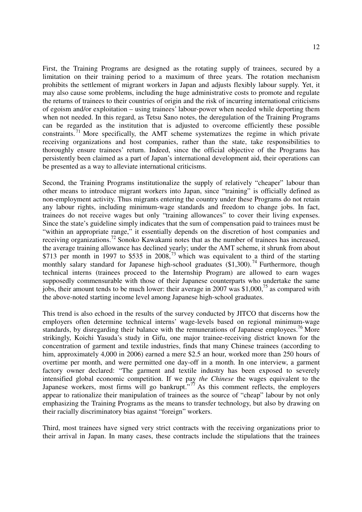First, the Training Programs are designed as the rotating supply of trainees, secured by a limitation on their training period to a maximum of three years. The rotation mechanism prohibits the settlement of migrant workers in Japan and adjusts flexibly labour supply. Yet, it may also cause some problems, including the huge administrative costs to promote and regulate the returns of trainees to their countries of origin and the risk of incurring international criticisms of egoism and/or exploitation – using trainees' labour-power when needed while deporting them when not needed. In this regard, as Tetsu Sano notes, the deregulation of the Training Programs can be regarded as the institution that is adjusted to overcome efficiently these possible constraints.<sup>71</sup> More specifically, the AMT scheme systematizes the regime in which private receiving organizations and host companies, rather than the state, take responsibilities to thoroughly ensure trainees' return. Indeed, since the official objective of the Programs has persistently been claimed as a part of Japan's international development aid, their operations can be presented as a way to alleviate international criticisms.

Second, the Training Programs institutionalize the supply of relatively "cheaper" labour than other means to introduce migrant workers into Japan, since "training" is officially defined as non-employment activity. Thus migrants entering the country under these Programs do not retain any labour rights, including minimum-wage standards and freedom to change jobs. In fact, trainees do not receive wages but only "training allowances" to cover their living expenses. Since the state's guideline simply indicates that the sum of compensation paid to trainees must be "within an appropriate range," it essentially depends on the discretion of host companies and receiving organizations.<sup>72</sup> Sonoko Kawakami notes that as the number of trainees has increased, the average training allowance has declined yearly; under the AMT scheme, it shrunk from about \$713 per month in 1997 to \$535 in 2008,<sup>73</sup> which was equivalent to a third of the starting monthly salary standard for Japanese high-school graduates  $(\$1,300)$ .<sup>74</sup> Furthermore, though technical interns (trainees proceed to the Internship Program) are allowed to earn wages supposedly commensurable with those of their Japanese counterparts who undertake the same jobs, their amount tends to be much lower: their average in 2007 was \$1,000,<sup>75</sup> as compared with the above-noted starting income level among Japanese high-school graduates.

This trend is also echoed in the results of the survey conducted by JITCO that discerns how the employers often determine technical interns' wage-levels based on regional minimum-wage standards, by disregarding their balance with the remunerations of Japanese employees.<sup>76</sup> More strikingly, Koichi Yasuda's study in Gifu, one major trainee-receiving district known for the concentration of garment and textile industries, finds that many Chinese trainees (according to him, approximately 4,000 in 2006) earned a mere \$2.5 an hour, worked more than 250 hours of overtime per month, and were permitted one day-off in a month. In one interview, a garment factory owner declared: "The garment and textile industry has been exposed to severely intensified global economic competition. If we pay *the Chinese* the wages equivalent to the Japanese workers, most firms will go bankrupt.<sup> $77$ </sup> As this comment reflects, the employers appear to rationalize their manipulation of trainees as the source of "cheap" labour by not only emphasizing the Training Programs as the means to transfer technology, but also by drawing on their racially discriminatory bias against "foreign" workers.

Third, most trainees have signed very strict contracts with the receiving organizations prior to their arrival in Japan. In many cases, these contracts include the stipulations that the trainees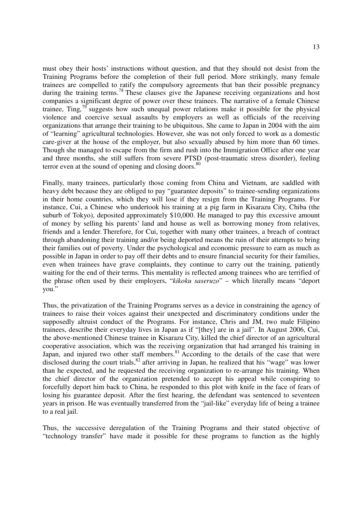must obey their hosts' instructions without question, and that they should not desist from the Training Programs before the completion of their full period. More strikingly, many female trainees are compelled to ratify the compulsory agreements that ban their possible pregnancy during the training terms.<sup>78</sup> These clauses give the Japanese receiving organizations and host companies a significant degree of power over these trainees. The narrative of a female Chinese trainee, Ting, $^{79}$  suggests how such unequal power relations make it possible for the physical violence and coercive sexual assaults by employers as well as officials of the receiving organizations that arrange their training to be ubiquitous. She came to Japan in 2004 with the aim of "learning" agricultural technologies. However, she was not only forced to work as a domestic care-giver at the house of the employer, but also sexually abused by him more than 60 times. Though she managed to escape from the firm and rush into the Immigration Office after one year and three months, she still suffers from severe PTSD (post-traumatic stress disorder), feeling terror even at the sound of opening and closing doors.<sup>80</sup>

Finally, many trainees, particularly those coming from China and Vietnam, are saddled with heavy debt because they are obliged to pay "guarantee deposits" to trainee-sending organizations in their home countries, which they will lose if they resign from the Training Programs. For instance, Cui, a Chinese who undertook his training at a pig farm in Kisarazu City, Chiba (the suburb of Tokyo), deposited approximately \$10,000. He managed to pay this excessive amount of money by selling his parents' land and house as well as borrowing money from relatives, friends and a lender. Therefore, for Cui, together with many other trainees, a breach of contract through abandoning their training and/or being deported means the ruin of their attempts to bring their families out of poverty. Under the psychological and economic pressure to earn as much as possible in Japan in order to pay off their debts and to ensure financial security for their families, even when trainees have grave complaints, they continue to carry out the training, patiently waiting for the end of their terms. This mentality is reflected among trainees who are terrified of the phrase often used by their employers, "*kikoku saseruzo*" – which literally means "deport you."

Thus, the privatization of the Training Programs serves as a device in constraining the agency of trainees to raise their voices against their unexpected and discriminatory conditions under the supposedly altruist conduct of the Programs. For instance, Chris and JM, two male Filipino trainees, describe their everyday lives in Japan as if "[they] are in a jail". In August 2006, Cui, the above-mentioned Chinese trainee in Kisarazu City, killed the chief director of an agricultural cooperative association, which was the receiving organization that had arranged his training in Japan, and injured two other staff members.  $81$  According to the details of the case that were disclosed during the court trials,<sup>82</sup> after arriving in Japan, he realized that his "wage" was lower than he expected, and he requested the receiving organization to re-arrange his training. When the chief director of the organization pretended to accept his appeal while conspiring to forcefully deport him back to China, he responded to this plot with knife in the face of fears of losing his guarantee deposit. After the first hearing, the defendant was sentenced to seventeen years in prison. He was eventually transferred from the "jail-like" everyday life of being a trainee to a real jail.

Thus, the successive deregulation of the Training Programs and their stated objective of "technology transfer" have made it possible for these programs to function as the highly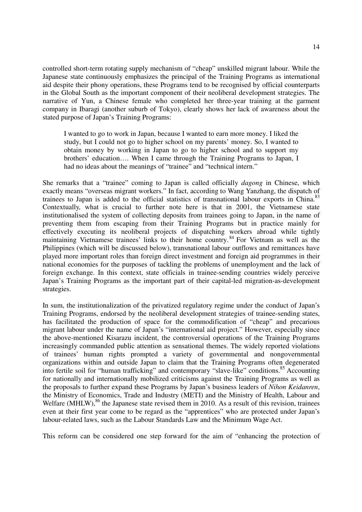controlled short-term rotating supply mechanism of "cheap" unskilled migrant labour. While the Japanese state continuously emphasizes the principal of the Training Programs as international aid despite their phony operations, these Programs tend to be recognised by official counterparts in the Global South as the important component of their neoliberal development strategies. The narrative of Yun, a Chinese female who completed her three-year training at the garment company in Ibaragi (another suburb of Tokyo), clearly shows her lack of awareness about the stated purpose of Japan's Training Programs:

I wanted to go to work in Japan, because I wanted to earn more money. I liked the study, but I could not go to higher school on my parents' money. So, I wanted to obtain money by working in Japan to go to higher school and to support my brothers' education…. When I came through the Training Programs to Japan, I had no ideas about the meanings of "trainee" and "technical intern."

She remarks that a "trainee" coming to Japan is called officially *dagong* in Chinese, which exactly means "overseas migrant workers." In fact, according to Wang Yanzhang, the dispatch of trainees to Japan is added to the official statistics of transnational labour exports in China. $83$ Contextually, what is crucial to further note here is that in 2001, the Vietnamese state institutionalised the system of collecting deposits from trainees going to Japan, in the name of preventing them from escaping from their Training Programs but in practice mainly for effectively executing its neoliberal projects of dispatching workers abroad while tightly maintaining Vietnamese trainees' links to their home country.<sup>84</sup> For Vietnam as well as the Philippines (which will be discussed below), transnational labour outflows and remittances have played more important roles than foreign direct investment and foreign aid programmes in their national economies for the purposes of tackling the problems of unemployment and the lack of foreign exchange. In this context, state officials in trainee-sending countries widely perceive Japan's Training Programs as the important part of their capital-led migration-as-development strategies.

In sum, the institutionalization of the privatized regulatory regime under the conduct of Japan's Training Programs, endorsed by the neoliberal development strategies of trainee-sending states, has facilitated the production of space for the commodification of "cheap" and precarious migrant labour under the name of Japan's "international aid project." However, especially since the above-mentioned Kisarazu incident, the controversial operations of the Training Programs increasingly commanded public attention as sensational themes. The widely reported violations of trainees' human rights prompted a variety of governmental and nongovernmental organizations within and outside Japan to claim that the Training Programs often degenerated into fertile soil for "human trafficking" and contemporary "slave-like" conditions.<sup>85</sup> Accounting for nationally and internationally mobilized criticisms against the Training Programs as well as the proposals to further expand these Programs by Japan's business leaders of *Nihon Keidanren*, the Ministry of Economics, Trade and Industry (METI) and the Ministry of Health, Labour and Welfare  $(MHLW)$ ,<sup>86</sup> the Japanese state revised them in 2010. As a result of this revision, trainees even at their first year come to be regard as the "apprentices" who are protected under Japan's labour-related laws, such as the Labour Standards Law and the Minimum Wage Act.

This reform can be considered one step forward for the aim of "enhancing the protection of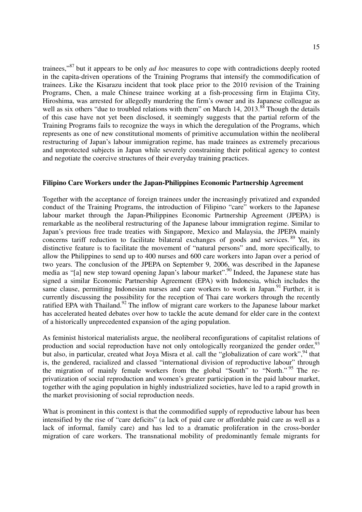trainees,"<sup>87</sup> but it appears to be only *ad hoc* measures to cope with contradictions deeply rooted in the capita-driven operations of the Training Programs that intensify the commodification of trainees. Like the Kisarazu incident that took place prior to the 2010 revision of the Training Programs, Chen, a male Chinese trainee working at a fish-processing firm in Etajima City, Hiroshima, was arrested for allegedly murdering the firm's owner and its Japanese colleague as well as six others "due to troubled relations with them" on March 14, 2013.<sup>88</sup> Though the details of this case have not yet been disclosed, it seemingly suggests that the partial reform of the Training Programs fails to recognize the ways in which the deregulation of the Programs, which represents as one of new constitutional moments of primitive accumulation within the neoliberal restructuring of Japan's labour immigration regime, has made trainees as extremely precarious and unprotected subjects in Japan while severely constraining their political agency to contest and negotiate the coercive structures of their everyday training practices.

#### **Filipino Care Workers under the Japan-Philippines Economic Partnership Agreement**

Together with the acceptance of foreign trainees under the increasingly privatized and expanded conduct of the Training Programs, the introduction of Filipino "care" workers to the Japanese labour market through the Japan-Philippines Economic Partnership Agreement (JPEPA) is remarkable as the neoliberal restructuring of the Japanese labour immigration regime. Similar to Japan's previous free trade treaties with Singapore, Mexico and Malaysia, the JPEPA mainly concerns tariff reduction to facilitate bilateral exchanges of goods and services. <sup>89</sup> Yet, its distinctive feature is to facilitate the movement of "natural persons" and, more specifically, to allow the Philippines to send up to 400 nurses and 600 care workers into Japan over a period of two years. The conclusion of the JPEPA on September 9, 2006, was described in the Japanese media as "[a] new step toward opening Japan's labour market".<sup>90</sup> Indeed, the Japanese state has signed a similar Economic Partnership Agreement (EPA) with Indonesia, which includes the same clause, permitting Indonesian nurses and care workers to work in Japan.<sup>91</sup> Further, it is currently discussing the possibility for the reception of Thai care workers through the recently ratified EPA with Thailand.<sup>92</sup> The inflow of migrant care workers to the Japanese labour market has accelerated heated debates over how to tackle the acute demand for elder care in the context of a historically unprecedented expansion of the aging population.

As feminist historical materialists argue, the neoliberal reconfigurations of capitalist relations of production and social reproduction have not only ontologically reorganized the gender order,  $93$ but also, in particular, created what Joya Misra et al. call the "globalization of care work", <sup>94</sup> that is, the gendered, racialized and classed "international division of reproductive labour" through the migration of mainly female workers from the global "South" to "North." <sup>95</sup> The reprivatization of social reproduction and women's greater participation in the paid labour market, together with the aging population in highly industrialized societies, have led to a rapid growth in the market provisioning of social reproduction needs.

What is prominent in this context is that the commodified supply of reproductive labour has been intensified by the rise of "care deficits" (a lack of paid care or affordable paid care as well as a lack of informal, family care) and has led to a dramatic proliferation in the cross-border migration of care workers. The transnational mobility of predominantly female migrants for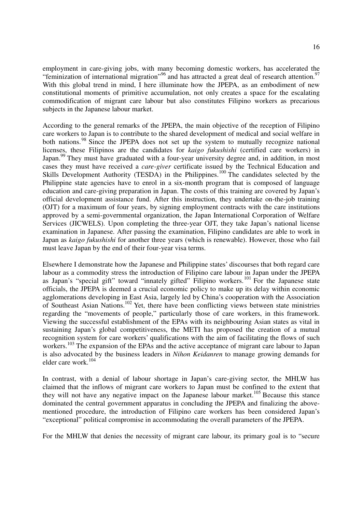employment in care-giving jobs, with many becoming domestic workers, has accelerated the "feminization of international migration"<sup>96</sup> and has attracted a great deal of research attention.<sup>97</sup> With this global trend in mind, I here illuminate how the JPEPA, as an embodiment of new constitutional moments of primitive accumulation, not only creates a space for the escalating commodification of migrant care labour but also constitutes Filipino workers as precarious subjects in the Japanese labour market.

According to the general remarks of the JPEPA, the main objective of the reception of Filipino care workers to Japan is to contribute to the shared development of medical and social welfare in both nations.<sup>98</sup> Since the JPEPA does not set up the system to mutually recognize national licenses, these Filipinos are the candidates for *kaigo fukushishi* (certified care workers) in Japan.<sup>99</sup> They must have graduated with a four-year university degree and, in addition, in most cases they must have received a *care-giver* certificate issued by the Technical Education and Skills Development Authority (TESDA) in the Philippines.<sup>100</sup> The candidates selected by the Philippine state agencies have to enrol in a six-month program that is composed of language education and care-giving preparation in Japan. The costs of this training are covered by Japan's official development assistance fund. After this instruction, they undertake on-the-job training (OJT) for a maximum of four years, by signing employment contracts with the care institutions approved by a semi-governmental organization, the Japan International Corporation of Welfare Services (JICWELS). Upon completing the three-year OJT, they take Japan's national license examination in Japanese. After passing the examination, Filipino candidates are able to work in Japan as *kaigo fukushishi* for another three years (which is renewable). However, those who fail must leave Japan by the end of their four-year visa terms.

Elsewhere I demonstrate how the Japanese and Philippine states' discourses that both regard care labour as a commodity stress the introduction of Filipino care labour in Japan under the JPEPA as Japan's "special gift" toward "innately gifted" Filipino workers.<sup>101</sup> For the Japanese state officials, the JPEPA is deemed a crucial economic policy to make up its delay within economic agglomerations developing in East Asia, largely led by China's cooperation with the Association of Southeast Asian Nations.<sup>102</sup> Yet, there have been conflicting views between state ministries regarding the "movements of people," particularly those of care workers, in this framework. Viewing the successful establishment of the EPAs with its neighbouring Asian states as vital in sustaining Japan's global competitiveness, the METI has proposed the creation of a mutual recognition system for care workers' qualifications with the aim of facilitating the flows of such workers.<sup>103</sup> The expansion of the EPAs and the active acceptance of migrant care labour to Japan is also advocated by the business leaders in *Nihon Keidanren* to manage growing demands for elder care work.<sup>104</sup>

In contrast, with a denial of labour shortage in Japan's care-giving sector, the MHLW has claimed that the inflows of migrant care workers to Japan must be confined to the extent that they will not have any negative impact on the Japanese labour market.<sup>105</sup> Because this stance dominated the central government apparatus in concluding the JPEPA and finalizing the abovementioned procedure, the introduction of Filipino care workers has been considered Japan's "exceptional" political compromise in accommodating the overall parameters of the JPEPA.

For the MHLW that denies the necessity of migrant care labour, its primary goal is to "secure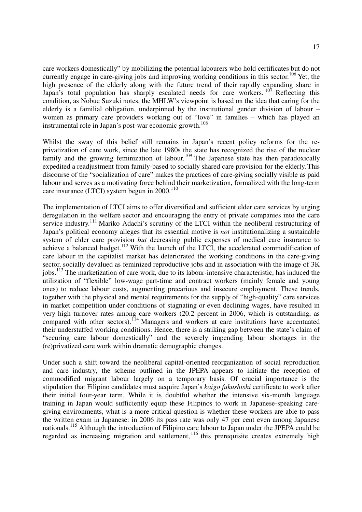care workers domestically" by mobilizing the potential labourers who hold certificates but do not currently engage in care-giving jobs and improving working conditions in this sector.<sup>106</sup> Yet, the high presence of the elderly along with the future trend of their rapidly expanding share in Japan's total population has sharply escalated needs for care workers.  $107$  Reflecting this condition, as Nobue Suzuki notes, the MHLW's viewpoint is based on the idea that caring for the elderly is a familial obligation, underpinned by the institutional gender division of labour – women as primary care providers working out of "love" in families – which has played an instrumental role in Japan's post-war economic growth.<sup>108</sup>

Whilst the sway of this belief still remains in Japan's recent policy reforms for the reprivatization of care work, since the late 1980s the state has recognized the rise of the nuclear family and the growing feminization of labour.<sup>109</sup> The Japanese state has then paradoxically expedited a readjustment from family-based to socially shared care provision for the elderly. This discourse of the "socialization of care" makes the practices of care-giving socially visible as paid labour and serves as a motivating force behind their marketization, formalized with the long-term care insurance (LTCI) system begun in  $2000$ <sup>110</sup>

The implementation of LTCI aims to offer diversified and sufficient elder care services by urging deregulation in the welfare sector and encouraging the entry of private companies into the care service industry.<sup>111</sup> Mariko Adachi's scrutiny of the LTCI within the neoliberal restructuring of Japan's political economy alleges that its essential motive is *not* institutionalizing a sustainable system of elder care provision *but* decreasing public expenses of medical care insurance to achieve a balanced budget.<sup>112</sup> With the launch of the LTCI, the accelerated commodification of care labour in the capitalist market has deteriorated the working conditions in the care-giving sector, socially devalued as feminized reproductive jobs and in association with the image of 3K jobs.<sup>113</sup> The marketization of care work, due to its labour-intensive characteristic, has induced the utilization of "flexible" low-wage part-time and contract workers (mainly female and young ones) to reduce labour costs, augmenting precarious and insecure employment. These trends, together with the physical and mental requirements for the supply of "high-quality" care services in market competition under conditions of stagnating or even declining wages, have resulted in very high turnover rates among care workers (20.2 percent in 2006, which is outstanding, as compared with other sectors).<sup>114</sup> Managers and workers at care institutions have accentuated their understaffed working conditions. Hence, there is a striking gap between the state's claim of "securing care labour domestically" and the severely impending labour shortages in the (re)privatized care work within dramatic demographic changes.

Under such a shift toward the neoliberal capital-oriented reorganization of social reproduction and care industry, the scheme outlined in the JPEPA appears to initiate the reception of commodified migrant labour largely on a temporary basis. Of crucial importance is the stipulation that Filipino candidates must acquire Japan's *kaigo fukushishi* certificate to work after their initial four-year term. While it is doubtful whether the intensive six-month language training in Japan would sufficiently equip these Filipinos to work in Japanese-speaking caregiving environments, what is a more critical question is whether these workers are able to pass the written exam in Japanese: in 2006 its pass rate was only 47 per cent even among Japanese nationals.<sup>115</sup> Although the introduction of Filipino care labour to Japan under the JPEPA could be regarded as increasing migration and settlement, <sup>116</sup> this prerequisite creates extremely high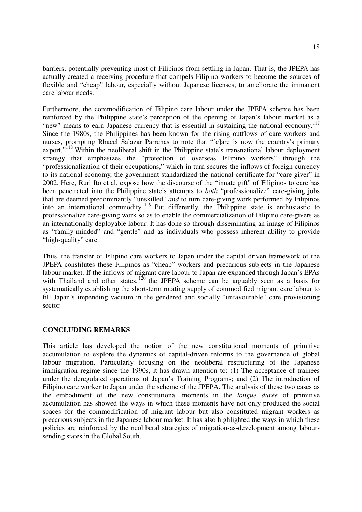barriers, potentially preventing most of Filipinos from settling in Japan. That is, the JPEPA has actually created a receiving procedure that compels Filipino workers to become the sources of flexible and "cheap" labour, especially without Japanese licenses, to ameliorate the immanent care labour needs.

Furthermore, the commodification of Filipino care labour under the JPEPA scheme has been reinforced by the Philippine state's perception of the opening of Japan's labour market as a "new" means to earn Japanese currency that is essential in sustaining the national economy.<sup>117</sup> Since the 1980s, the Philippines has been known for the rising outflows of care workers and nurses, prompting Rhacel Salazar Parreñas to note that "[c]are is now the country's primary export."<sup>118</sup> Within the neoliberal shift in the Philippine state's transnational labour deployment strategy that emphasizes the "protection of overseas Filipino workers" through the "professionalization of their occupations," which in turn secures the inflows of foreign currency to its national economy, the government standardized the national certificate for "care-giver" in 2002. Here, Ruri Ito et al. expose how the discourse of the "innate gift" of Filipinos to care has been penetrated into the Philippine state's attempts to *both* "professionalize" care-giving jobs that are deemed predominantly "unskilled" *and* to turn care-giving work performed by Filipinos into an international commodity.<sup>119</sup> Put differently, the Philippine state is enthusiastic to professionalize care-giving work so as to enable the commercialization of Filipino care-givers as an internationally deployable labour. It has done so through disseminating an image of Filipinos as "family-minded" and "gentle" and as individuals who possess inherent ability to provide "high-quality" care.

Thus, the transfer of Filipino care workers to Japan under the capital driven framework of the JPEPA constitutes these Filipinos as "cheap" workers and precarious subjects in the Japanese labour market. If the inflows of migrant care labour to Japan are expanded through Japan's EPAs with Thailand and other states,  $120$  the JPEPA scheme can be arguably seen as a basis for systematically establishing the short-term rotating supply of commodified migrant care labour to fill Japan's impending vacuum in the gendered and socially "unfavourable" care provisioning sector.

## **CONCLUDING REMARKS**

This article has developed the notion of the new constitutional moments of primitive accumulation to explore the dynamics of capital-driven reforms to the governance of global labour migration. Particularly focusing on the neoliberal restructuring of the Japanese immigration regime since the 1990s, it has drawn attention to: (1) The acceptance of trainees under the deregulated operations of Japan's Training Programs; and (2) The introduction of Filipino care worker to Japan under the scheme of the JPEPA. The analysis of these two cases as the embodiment of the new constitutional moments in the *longue durée* of primitive accumulation has showed the ways in which these moments have not only produced the social spaces for the commodification of migrant labour but also constituted migrant workers as precarious subjects in the Japanese labour market. It has also highlighted the ways in which these policies are reinforced by the neoliberal strategies of migration-as-development among laboursending states in the Global South.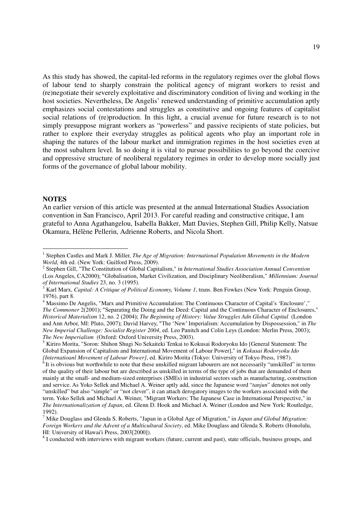As this study has showed, the capital-led reforms in the regulatory regimes over the global flows of labour tend to sharply constrain the political agency of migrant workers to resist and (re)negotiate their severely exploitative and discriminatory condition of living and working in the host societies. Nevertheless, De Angelis' renewed understanding of primitive accumulation aptly emphasizes social contestations and struggles as constitutive and ongoing features of capitalist social relations of (re)production. In this light, a crucial avenue for future research is to not simply presuppose migrant workers as "powerless" and passive recipients of state policies, but rather to explore their everyday struggles as political agents who play an important role in shaping the natures of the labour market and immigration regimes in the host societies even at the most subaltern level. In so doing it is vital to pursue possibilities to go beyond the coercive and oppressive structure of neoliberal regulatory regimes in order to develop more socially just forms of the governance of global labour mobility.

#### **NOTES**

-

An earlier version of this article was presented at the annual International Studies Association convention in San Francisco, April 2013. For careful reading and constructive critique, I am grateful to Anna Agathangelou, Isabella Bakker, Matt Davies, Stephen Gill, Philip Kelly, Natsue Okamura, Hélène Pellerin, Adrienne Roberts, and Nicola Short.

<sup>&</sup>lt;sup>1</sup> Stephen Castles and Mark J. Miller, *The Age of Migration: International Population Movements in the Modern* 

*World*, 4th ed. (New York: Guilford Press, 2009). 2 Stephen Gill, "The Constitution of Global Capitalism," in *International Studies Association Annual Convention* (Los Angeles, CA2000); "Globalisation, Market Civilization, and Disciplinary Neoliberalism," *Millennium: Journal of International Studies* 23, no. 3 (1995). 3 Karl Marx, *Capital: A Critique of Political Economy, Volume 1*, trans. Ben Fowkes (New York: Penguin Group,

<sup>1976),</sup> part 8.

<sup>&</sup>lt;sup>4</sup> Massimo De Angelis, "Marx and Primitive Accumulation: The Continuous Character of Capital's 'Enclosure'," *The Commoner* 2(2001); "Separating the Doing and the Deed: Capital and the Continuous Character of Enclosures," *Historical Materialism* 12, no. 2 (2004); *The Beginning of History: Value Struggles Adn Global Capital* (London and Ann Arbor, MI: Pluto, 2007); David Harvey, "The 'New' Imperialism: Accumulation by Dispossession," in *The New Imperial Challenge: Socialist Register 2004*, ed. Leo Panitch and Colin Leys (London: Merlin Press, 2003); *The New Imperialism* (Oxford: Oxford University Press, 2003).

<sup>&</sup>lt;sup>5</sup> Kiriro Morita, "Soron: Shihon Shugi No Sekaiteki Tenkai to Kokusai Rodoryoku Ido [General Statement: The Global Expansion of Capitalism and International Movement of Labour Power]," in *Kokusai Rodoryoku Ido [Internatioanl Movement of Labour Power]*, ed. Kiriro Morita (Tokyo: University of Tokyo Press, 1987).

 $<sup>6</sup>$  It is obvious but worthwhile to note that these unskilled migrant labourers are not necessarily "unskilled" in terms</sup> of the quality of their labour but are described as unskilled in terms of the type of jobs that are demanded of them mainly at the small- and medium-sized enterprises (SMEs) in industrial sectors such as manufacturing, construction and service. As Yoko Sellek and Michael A. Weiner aptly add, since the Japanese word "*tanjun*" denotes not only "unskilled" but also "simple" or "not clever", it can attach derogatory images to the workers associated with the term. Yoko Sellek and Michael A. Weiner, "Migrant Workers: The Japanese Case in International Perspective," in *The Internationalization of Japan*, ed. Glenn D. Hook and Michael A. Weiner (London and New York: Routledge, 1992).

<sup>7</sup> Mike Douglass and Glenda S. Roberts, "Japan in a Global Age of Migration," in *Japan and Global Migration: Foreign Workers and the Advent of a Multicultural Society*, ed. Mike Douglass and Glenda S. Roberts (Honolulu, HI: University of Hawai'i Press, 2003[2000]).

<sup>&</sup>lt;sup>8</sup> I conducted with interviews with migrant workers (future, current and past), state officials, business groups, and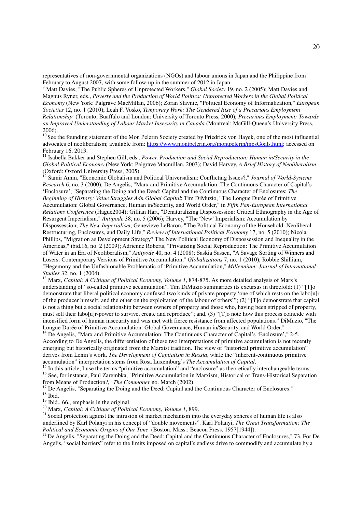representatives of non-governmental organizations (NGOs) and labour unions in Japan and the Philippine from February to August 2007, with some follow-up in the summer of 2012 in Japan.

9 Matt Davies, "The Public Spheres of Unprotected Workers," *Global Society* 19, no. 2 (2005); Matt Davies and Magnus Ryner, eds., *Poverty and the Production of World Politics: Unprotected Workers in the Global Political Economy* (New York: Palgrave MacMillan, 2006); Zoran Slavnic, "Political Economy of Informalization," *European Societies* 12, no. 1 (2010); Leah F. Vosko, *Temporary Work: The Gendered Rise of a Precarious Employment Relationship* (Toronto, Buaffalo and London: University of Toronto Press, 2000); *Precarious Employment: Towards an Improved Understanding of Labour Market Insecurity in Canada* (Montreal: McGill-Queen's University Press, 2006).

<sup>10</sup> See the founding statement of the Mon Pelerin Society created by Friedrick von Hayek, one of the most influential advocates of neoliberalism; available from: https://www.montpelerin.org/montpelerin/mpsGoals.html; accessed on February 16, 2013.

<sup>11</sup> Isabella Bakker and Stephen Gill, eds., *Power, Production and Social Reproduction: Human in/Security in the Global Political Economy* (New York: Palgrave Macmillan, 2003); David Harvey, *A Brief History of Neoliberalism* (Oxford: Oxford University Press, 2005).

<sup>12</sup> Samir Amin, "Economic Globalism and Political Universalism: Conflicting Issues?," *Journal of World-Systems Research* 6, no. 3 (2000); De Angelis, "Marx and Primitive Accumulation: The Continuous Character of Capital's 'Enclosure'; "Separating the Doing and the Deed: Capital and the Continuous Character of Enclosures; *The Beginning of History: Value Struggles Adn Global Capital*; Tim DiMuzio, "The Longue Durée of Primitive Accumulation: Global Governance, Human in/Security, and World Order," in *Fifth Pan-European International Relations Conference* (Hague2004); Gillian Hart, "Denaturalizing Dispossession: Critical Ethnography in the Age of Resurgent Imperialism," *Antipode* 38, no. 5 (2006); Harvey, "The 'New' Imperialism: Accumulation by Dispossession; *The New Imperialism*; Genevieve LeBaron, "The Political Economy of the Household: Neoliberal Restructuring, Enclosures, and Daily Life," *Review of International Political Economy* 17, no. 5 (2010); Nicola Phillips, "Migration as Development Strategy? The New Political Economy of Dispossession and Inequality in the Americas," ibid.16, no. 2 (2009); Adrienne Roberts, "Privatizing Social Reproduction: The Primitive Accumulation of Water in an Era of Neoliberalism," *Antipode* 40, no. 4 (2008); Saskia Sassen, "A Savage Sorting of Winners and Losers: Contemporary Versions of Primitive Accumulation," *Globalizations* 7, no. 1 (2010); Robbie Shilliam, "Hegemony and the Unfashionable Problematic of 'Primitive Accumulation," *Millennium: Journal of International Studies* 32, no. 1 (2004).

<sup>13</sup> Marx, *Capital: A Critique of Political Economy, Volume 1, 874-875. As more detailed analysis of Marx's* understanding of "so-called primitive accumulation", Tim DiMuzio summarizes its excursus in threefold: (1) "[T]o demonstrate that liberal political economy confused two kinds of private property 'one of which rests on the labo[u]r of the producer himself, and the other on the exploitation of the labour of others'"; (2) "[T]o demonstrate that capital is not a thing but a social relationship between owners of property and those who, having been stripped of property, must sell their labo[u]r-power to survive, create and reproduce"; and, (3) "[T]o note how this process coincide with intensified form of human insecurity and was met with fierce resistance from affected populations." DiMuzio, "The Longue Durée of Primitive Accumulation: Global Governance, Human in/Security, and World Order."

<sup>14</sup> De Angelis, "Marx and Primitive Accumulation: The Continuous Character of Capital's 'Enclosure'," 2-5. According to De Angelis, the differentiation of these two interpretations of primitive accumulation is not recently emerging but historically originated from the Marxist tradition. The view of "historical primitive accumulation" derives from Lenin's work, *The Development of Capitalism in Russia*, while the "inherent-continuous primitive accumulation" interpretation stems from Rosa Luxemburg's *The Accumulation of Capital*.

<sup>1</sup> In this article, I use the terms "primitive accumulation" and "enclosure" as theoretically interchangeable terms. <sup>16</sup> See, for instance, Paul Zarembka, "Primitive Accumulation in Marxism, Historical or Trans-Historical Separation from Means of Production?," *The Commoner* no. March (2002).

<sup>17</sup> De Angelis, "Separating the Doing and the Deed: Capital and the Continuous Character of Enclosures."  $18$  Ibid.

<sup>19</sup> Ibid., 66., emphasis in the original

-

<sup>20</sup> Marx, *Capital: A Critique of Political Economy, Volume 1*, 899.

<sup>21</sup> Social protection against the intrusion of market mechanism into the everyday spheres of human life is also underlined by Karl Polanyi in his concept of "double movements". Karl Polanyi, *The Great Transformation: The Political and Economic Origins of Our Time* (Boston, Mass.: Beacon Press, 1957[1944]).

<sup>22</sup> De Angelis, "Separating the Doing and the Deed: Capital and the Continuous Character of Enclosures," 73. For De Angelis, "social barriers" refer to the limits imposed on capital's endless drive to commodify and accumulate by a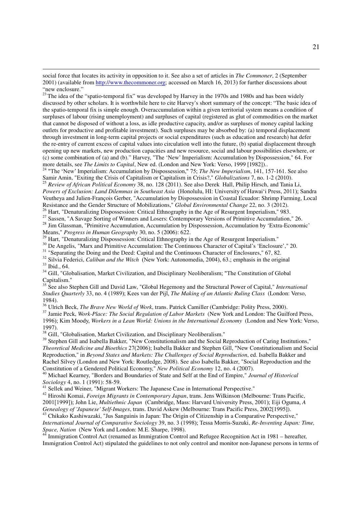<sup>23</sup>The idea of the "spatio-temporal fix" was developed by Harvey in the 1970s and 1980s and has been widely discussed by other scholars. It is worthwhile here to cite Harvey's short summary of the concept: "The basic idea of the spatio-temporal fix is simple enough. Overaccumulation within a given territorial system means a condition of surpluses of labour (rising unemployment) and surpluses of capital (registered as glut of commodities on the market that cannot be disposed of without a loss, as idle productive capacity, and/or as surpluses of money capital lacking outlets for productive and profitable investment). Such surpluses may be absorbed by: (a) temporal displacement through investment in long-term capital projects or social expenditures (such as education and research) hat defer the re-entry of current excess of capital values into circulation well into the future, (b) spatial displacement through opening up new markets, new production capacities and new resource, social and labour possibilities elsewhere, or (c) some combination of (a) and (b)." Harvey, "The 'New' Imperialism: Accumulation by Dispossession," 64. For more details, see *The Limits to Capital*, New ed. (London and New York: Verso, 1999 [1982])..

<sup>24</sup> "The 'New' Imperialism: Accumulation by Dispossession," 75; *The New Imperialism*, 141, 157-161. See also Samir Amin, "Exiting the Crisis of Capitalism or Capitalism in Crisis?," *Globalizations* 7, no. 1-2 (2010).

<sup>25</sup> *Review of African Political Economy* 38, no. 128 (2011). See also Derek Hall, Philip Hirsch, and Tania Li, *Powers of Exclusion: Land Dilemmas in Southeast Asia* (Honolulu, HI: University of Hawaiʻi Press, 2011); Sandra Veutheya and Julien-François Gerber, "Accumulation by Dispossession in Coastal Ecuador: Shrimp Farming, Local Resistance and the Gender Structure of Mobilizations," *Global Environmental Change* 22, no. 3 (2012).

<sup>26</sup> Hart, "Denaturalizing Dispossession: Critical Ethnography in the Age of Resurgent Imperialism," 983.

<sup>27</sup> Sassen, "A Savage Sorting of Winners and Losers: Contemporary Versions of Primitive Accumulation," 26. <sup>28</sup> Jim Glassman, "Primitive Accumulation, Accumulation by Dispossession, Accumulation by 'Extra-Economic'

Means," *Progress in Human Geography* 30, no. 5 (2006): 622.

-

<sup>2</sup> Hart, "Denaturalizing Dispossession: Critical Ethnography in the Age of Resurgent Imperialism."

<sup>30</sup> De Angelis, "Marx and Primitive Accumulation: The Continuous Character of Capital's 'Enclosure'," 20.

<sup>31</sup> "Separating the Doing and the Deed: Capital and the Continuous Character of Enclosures," 67, 82.

<sup>32</sup> Silvia Federici, *Caliban and the Witch* (New York: Autonomedia, 2004), 63.; emphasis in the original <sup>33</sup> Ibid., 64.

<sup>34</sup> Gill, "Globalisation, Market Civilization, and Disciplinary Neoliberalism; "The Constitution of Global Capitalism."

<sup>35</sup> See also Stephen Gill and David Law, "Global Hegemony and the Structural Power of Capital," *International Studies Quarterly* 33, no. 4 (1989); Kees van der Pijl, *The Making of an Atlantic Ruling Class* (London: Verso, 1984).

<sup>36</sup> Ulrich Beck, *The Brave New World of Work*, trans. Patrick Camiller (Cambridge: Polity Press, 2000).

<sup>37</sup> Jamie Peck, *Work-Place: The Social Regulation of Labor Markets* (New York and London: The Guilford Press, 1996); Kim Moody, *Workers in a Lean World: Unions in the International Economy* (London and New York: Verso, 1997).

<sup>38</sup> Gill, "Globalisation, Market Civilization, and Disciplinary Neoliberalism."

<sup>39</sup> Stephen Gill and Isabella Bakker, "New Constitutionalism and the Social Reproduction of Caring Institutions," *Theoretical Medicine and Bioethics* 27(2006); Isabella Bakker and Stephen Gill, "New Constitutionalism and Social Reproduction," in *Beyond States and Markets: The Challenges of Social Reproduction*, ed. Isabella Bakker and Rachel Silvey (London and New York: Routledge, 2008). See also Isabella Bakker, "Social Reproduction and the Constitution of a Gendered Political Economy," *New Political Economy* 12, no. 4 (2007).

<sup>40</sup> Michael Kearney, "Borders and Boundaries of State and Self at the End of Empire," *Journal of Historical Sociology* 4, no. 1 (1991): 58-59.

<sup>41</sup> Sellek and Weiner, "Migrant Workers: The Japanese Case in International Perspective."

<sup>42</sup> Hiroshi Komai, *Foreign Migrants in Contemporary Japan*, trans. Jens Wilkinson (Melbourne: Trans Pacific, 2001[1999]); John Lie, *Multiethnic Japan* (Cambridge, Mass: Harvard University Press, 2001); Eiji Oguma, *A Genealogy of 'Japanese' Self-Images*, trans. David Askew (Melbourne: Trans Pacific Press, 2002[1995]).

43 Chikako Kashiwazaki, "Jus Sanguinis in Japan: The Origin of Citizenship in a Comparative Perspective," *International Journal of Comparative Sociology* 39, no. 3 (1998); Tessa Morris-Suzuki, *Re-Inventing Japan: Time, Space, Nation* (New York and London: M.E. Sharpe, 1998).

Immigration Control Act (renamed as Immigration Control and Refugee Recognition Act in 1981 – hereafter, Immigration Control Act) stipulated the guidelines to not only control and monitor non-Japanese persons in terms of

social force that locates its activity in opposition to it. See also a set of articles in *The Commoner*, 2 (September 2001) (available from http://www.thecommoner.org; accessed on March 16, 2013) for further discussions about "new enclosure."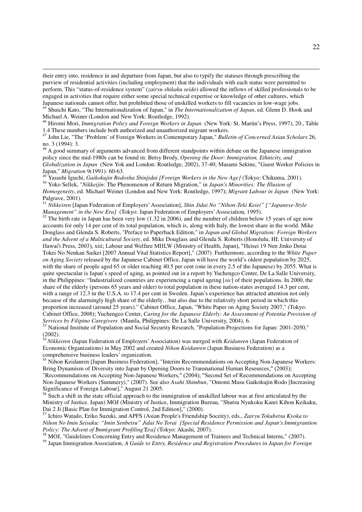their entry into, residence in and departure from Japan, but also to typify the statuses through prescribing the purview of residential activities (including employment) that the individuals with each status were permitted to perform. This "status-of-residence system" (*zairyu shikaku seido*) allowed the inflows of skilled professionals to be engaged in activities that require either some special technical expertise or knowledge of other cultures, which Japanese nationals cannot offer, but prohibited those of unskilled workers to fill vacancies in low-wage jobs. <sup>45</sup> Shuichi Kato, "The Internationalization of Japan," in *The Internationalization of Japan*, ed. Glenn D. Hook and

-

Michael A. Weiner (London and New York: Routledge, 1992).

<sup>46</sup> Hiromi Mori, *Immigration Policy and Foreign Workers in Japan* (New York: St. Martin's Press, 1997), 20., Table 1.4 These numbers include both authorized and unauthorized migrant workers.

<sup>47</sup> John Lie, "The 'Problem' of Foreign Workers in Contemporary Japan," *Bulletin of Concerned Asian Scholars* 26, no. 3 (1994): 3.

<sup>48</sup> A good summary of arguments advanced from different standpoints within debate on the Japanese immigration policy since the mid-1980s can be found in: Betsy Brody, *Opening the Door: Immigration, Ethnicity, and Globalization in Japan* (New Yok and London: Routledge, 2002), 37-40; Masami Sekine, "Guest Worker Policies in Japan," *Migration* 9(1991): 60-63.<br><sup>49</sup> Variation<sup>9</sup>

<sup>49</sup> Yasushi Iguchi, *Gaikokujin Rodosha Shinjidai [Foreign Workers in the New Age]* (Tokyo: Chikuma, 2001). <sup>50</sup> Yoko Sellek, "*Nikkeijin*: The Phenomenon of Return Migration," in *Japan's Minorities: The Illusion of Homogeneity*, ed. Michael Weiner (London and New York: Routledge, 1997); *Migrant Labour in Japan* (New York: Palgrave, 2001).

<sup>51</sup> *Nikkeiren* [Japan Federation of Employers' Association], *Shin Jidai No "Nihon-Teki Keiei" ["Japanese-Style Management" in the New Era]* (Tokyo: Japan Federation of Employers' Association, 1995).

 $\frac{52}{2}$  The birth rate in Japan has been very low (1.32 in 2006), and the number of children below 15 years of age now accounts for only 14 per cent of its total population, which is, along with Italy, the lowest share in the world. Mike Douglass and Glenda S. Roberts, "Preface to Paperback Edition," in *Japan and Global Migration: Foreign Workers and the Advent of a Multicultural Society*, ed. Mike Douglass and Glenda S. Roberts (Honolulu, HI: University of Hawai'i Press, 2003), xiii; Labour and Welfare MHLW (Ministry of Health, Japan), "Heisei 19 Nen Jinko Dotai Tokei No Nenkan Suikei [2007 Annual Vital Statistics Report]," (2007). Furthermore, according to the *White Paper on Aging Society* released by the Japanese Cabinet Office, Japan will have the world's oldest population by 2025, with the share of people aged 65 or older reaching 40.5 per cent (one in every 2.5 of the Japanese) by 2055. What is quite spectacular is Japan's speed of aging, as pointed out in a report by Yuchengco Center, De La Salle University, in the Philippines: "Industrialized countries are experiencing a rapid ageing [*sic*] of their populations. In 2000, the share of the elderly (persons 65 years and older) to total population in these nation-states averaged 14.3 per cent, with a range of 12.3 in the U.S.A. to 17.4 per cent in Sweden. Japan's experience has attracted attention not only because of the alarmingly high share of the elderly…but also due to the relatively short period in which this proportion increased (around 25 years)." Cabinet Office, Japan, "White Paper on Aging Society 2007," (Tokyo: Cabinet Office, 2008); Yuchengco Center, *Caring for the Japanese Elderly: An Assessment of Potentia Provision of Services by Filipino Caregivers* (Manila, Philippines: De La Salle University, 2004), 6.

<sup>53</sup> National Institute of Population and Social Security Research, "Population Projections for Japan: 2001-2050," (2002).

<sup>54</sup>*Nikkeiren* (Japan Federation of Employers' Association) was merged with *Keidanren* (Japan Federation of Economic Organizations) in May 2002 and created *Nihon Keidanren* (Japan Business Federation) as a comprehensive business leaders' organization.

<sup>55</sup> Nihon Keidanren [Japan Business Federation], "Interim Recommendations on Accepting Non-Japanese Workers: Bring Dynamism of Diversity into Japan by Opening Doors to Transnational Human Resources," (2003);

"Recommendations on Accepting Non-Japanese Workers," (2004); "Second Set of Recommendations on Accepting Non-Japanese Workers (Summery)," (2007). See also *Asahi Shimbun*, "Omomi Masu Gaikokujin Rodo [Increasing Significance of Foreign Labour]," August 21 2005.

<sup>56</sup> Such a shift in the state official approach to the immigration of unskilled labour was at first articulated by the Ministry of Justice. Japan) MOJ (Ministry of Justice, Immigration Bureau, "Shutsu Nyukoku Kanri Kihon Keikaku, Dai 2 Ji [Basic Plan for Immigration Control, 2nd Edition]," (2000).

<sup>57</sup> Ichiro Watado, Eriko Suzuki, and APFS (Asian People's Friendship Soceity), eds., *Zairyu Tokubetsu Kyoka to Nihon No Imin Seisaku: "Imin Senbetsu" Jidai No Torai [Special Residence Permission and Japan's Immigrantion Policy: The Advent of Immigrant Profiling 'Era]* (Tokyo: Akashi, 2007).

<sup>58</sup> MOJ, "Guidelines Concerning Entry and Residence Management of Trainees and Technical Interns," (2007). <sup>59</sup> Japan Immigration Association, *A Guide to Entry, Residence and Registration Procedures in Japan for Foreign*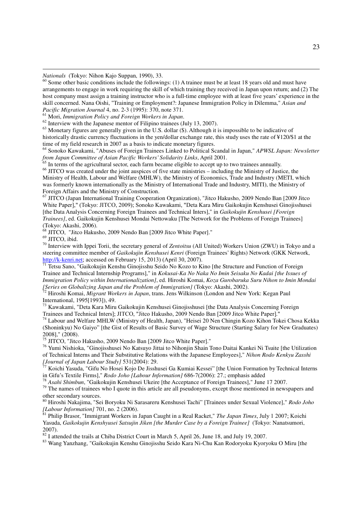*Nationals* (Tokyo: Nihon Kajo Suppan, 1990), 33.

 $60$  Some other basic conditions include the followings: (1) A trainee must be at least 18 years old and must have arrangements to engage in work requiring the skill of which training they received in Japan upon return; and (2) The host company must assign a training instructor who is a full-time employee with at least five years' experience in the skill concerned. Nana Oishi, "Training or Employment?: Japanese Immigration Policy in Dilemma," *Asian and Pacific Migration Journal* 4, no. 2-3 (1995): 370, note 371.

<sup>61</sup> Mori, *Immigration Policy and Foreign Workers in Japan*.

 $62$  Interview with the Japanese mentor of Filipino trainees (July 13, 2007).

<sup>63</sup> Monetary figures are generally given in the U.S. dollar (\$). Although it is impossible to be indicative of historically drastic currency fluctuations in the yen/dollar exchange rate, this study uses the rate of ¥120/\$1 at the time of my field research in 2007 as a basis to indicate monetary figures.

<sup>64</sup> Sonoko Kawakami, "Abuses of Foreign Trainees Linked to Political Scandal in Japan," *APWSL Japan: Newsletter from Japan Committee of Asian Pacific Workers' Solidarity Links*, April 2001.

In terms of the agricultural sector, each farm became eligible to accept up to two trainees annually.

<sup>66</sup> JITCO was created under the joint auspices of five state ministries – including the Ministry of Justice, the Ministry of Health, Labour and Welfare (MHLW), the Ministry of Economics, Trade and Industry (METI, which was formerly known internationally as the Ministry of International Trade and Industry, MITI), the Ministry of Foreign Affairs and the Ministry of Construction.

<sup>67</sup> JITCO (Japan International Training Cooperation Organization), "Jitco Hakusho, 2009 Nendo Ban [2009 Jitco White Paper]," (Tokyo: JITCO, 2009); Sonoko Kawakami, "Deta Kara Miru Gaikokujin Kenshusei Ginojisshusei [the Data Analysis Concerning Foreign Trainees and Technical Inters]," in *Gaikokujin Kenshusei [Foreign Trainees]*, ed. Gaikokujin Kenshusei Mondai Nettowaku [The Network for the Problems of Foreign Trainees] (Tokyo: Akashi, 2006).

<sup>8</sup> JITCO, "Jitco Hakusho, 2009 Nendo Ban [2009 Jitco White Paper]."

 $69$  JITCO, ibid.

-

<sup>70</sup> Interview with Ippei Torii, the secretary general of *Zentoitsu* (All United) Workers Union (ZWU) in Tokyo and a steering committee member of *Gaikokujin Kenshusei Kenri* (Foreign Trainees' Rights) Network (GKK Network, http://k-kenri.net; accessed on February 15, 2013) (April 30, 2007).

<sup>71</sup> Tetsu Sano, "Gaikokujin Kenshu Ginojisshu Seido No Kozo to Kino [the Structure and Function of Foreign Trainee and Technical Internship Programs]," in *Kokusai-Ka No Naka No Imin Seisaku No Kadai [the Issues of Immigration Policy within Internationalization]*, ed. Hiroshi Komai, *Koza Gurobaruka Suru Nihon to Imin Mondai [Series on Globalizing Japan and the Problem of Immigration]* (Tokyo: Akashi, 2002).

<sup>72</sup> Hiroshi Komai, *Migrant Workers in Japan*, trans. Jens Wilkinson (London and New York: Kegan Paul International, 1995[1993]), 49.

<sup>73</sup> Kawakami, "Deta Kara Miru Gaikokujin Kenshusei Ginojisshusei [the Data Analysis Concerning Foreign Trainees and Technical Inters]; JITCO, "Jitco Hakusho, 2009 Nendo Ban [2009 Jitco White Paper]."

<sup>74</sup> Labour and Welfare MHLW (Ministry of Health, Japan), "Heisei 20 Nen Chingin Kozo Kihon Tokei Chosa Kekka (Shoninkyu) No Gaiyo" [the Gist of Results of Basic Survey of Wage Structure (Starting Salary for New Graduates) 2008]," (2008).

<sup>75</sup> JITCO, "Jitco Hakusho, 2009 Nendo Ban [2009 Jitco White Paper]."

<sup>76</sup> Yumi Nishioka, "Ginojisshusei No Katsuyo Jittai to Nihonjin Shain Tono Daitai Kankei Ni Tsuite [the Utilization of Technical Interns and Their Substitutive Relations with the Japanese Employees]," *Nihon Rodo Kenkyu Zasshi [Journal of Japan Labour Study]* 531(2004): 29.

<sup>77</sup> Koichi Yasuda, "Gifu No Hosei Kojo De Jisshusei Ga Kumiai Kessei" [the Union Formation by Technical Interns in Gifu's Textile Firms]," *Rodo Joho [Labour Information]* 686-7(2006): 27.; emphasis added

<sup>78</sup> *Asahi Shimbun*, "Gaikokujin Kenshusei Ukeire [the Acceptance of Foreign Trainees]," June 17 2007.

<sup>79</sup> The names of trainees who I quote in this article are all pseudonyms, except those mentioned in newspapers and other secondary sources.

<sup>80</sup> Hiroshi Nakajima, "Sei Boryoku Ni Sarasareru Kenshusei Tachi" [Trainees under Sexual Violence]," *Rodo Joho [Labour Information]* 701, no. 2 (2006).

<sup>81</sup> Philip Brasor, "Immigrant Workers in Japan Caught in a Real Racket," *The Japan Times*, July 1 2007; Koichi Yasuda, *Gaikokujin Kenshyusei Satsujin Jiken [the Murder Case by a Foreign Trainee]* (Tokyo: Nanatsumori, 2007).

<sup>82</sup> I attended the trails at Chiba District Court in March 5, April 26, June 18, and July 19, 2007.

83 Wang Yanzhang, "Gaikokujin Kenshu Ginojisshu Seido Kara Ni-Chu Kan Rodoryoku Kyoryoku O Miru [the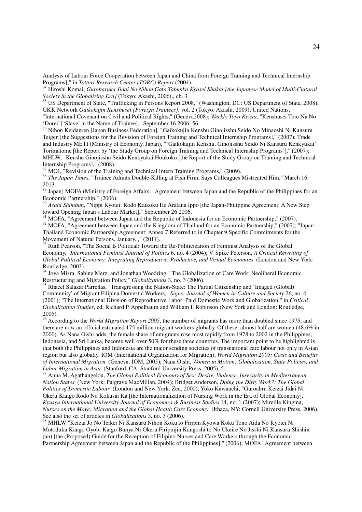Analysis of Labour Force Cooperation between Japan and China from Foreign Training and Technical Internship Programs]," in *Tottori Research Center (TORC) Report* (2004).

<sup>84</sup> Hiroshi Komai, *Gurobaruka Jidai No Nihon Gata Tabunka Kyosei Shakai [the Japanese Model of Multi-Cultural Society in the Globalizing Era]* (Tokyo: Akashi, 2006)., ch. 3

<sup>85</sup> US Department of State, "Trafficking in Persons Report 2008," (Washington, DC: US Department of State, 2008); GKK Network *Gaikokujin Kenshusei [Foreign Trainees]*, vol. 2 (Tokyo: Akashi, 2009); United Nations,

"International Covenant on Civil and Political Rights," (Geneva2008); *Weekly Toyo Keizai*, "Kenshusei Toiu Na No 'Dorei' ['Slave' in the Name of Trainee]," September 16 2006, 56.

<sup>86</sup> Nihon Keidanren [Japan Business Federation], "Gaikokujin Kenshu Ginojisshu Seido No Minaoshi Ni Kansuru Teigen [the Suggestions for the Revision of Foreign Training and Technical Internship Programs]," (2007); Trade and Industry METI (Ministry of Economy, Japan), "'Gaikokujin Kenshu, Ginojisshu Seido Ni Kansuru Kenkyukai' Torimatome [the Report by 'the Study Group on Foreign Training and Technical Internship Programs']," (2007); MHLW, "Kenshu Ginojisshu Seido Kenkyukai Houkoku [the Report of the Study Group on Training and Technical Internship Programs]," (2008).

MOJ, "Revision of the Training and Technical Intern Training Programs," (2009).

-

<sup>88</sup> *The Japan Times*, "Trainee Admits Double-Killing at Fish Firm, Says Colleagues Mistreated Him," March 16 2013.

89 Japan) MOFA (Ministry of Foreign Affairs, "Agreement between Japan and the Republic of the Philippines for an Economic Partnership," (2006).

<sup>90</sup> *Asahi Shimbun*, "Nippi Kyotei: Rodo Kaikoku He Aratana Ippo [the Japan-Philippine Agreement: A New Step toward Opening Japan's Labour Market]," September 26 2006.

 $91$  MOFA, "Agreement between Japan and the Republic of Indonesia for an Economic Partnership," (2007). <sup>92</sup> MOFA, "Agreement between Japan and the Kingdom of Thailand for an Economic Partnership," (2007); "Japan-Thailand Economic Partnership Agreement: Annex 7 Referred to in Chapter 9 Specific Commitments for the Movement of Natural Persons. January. ," (2011).

<sup>93</sup> Ruth Pearson, "The Social Is Political: Toward the Re-Politicization of Feminist Analysis of the Global Economy," *International Feminist Journal of Politics* 6, no. 4 (2004); V. Spike Peterson, *A Critical Rewriting of Global Political Economy: Integrating Reproductive, Productive, and Virtual Economies* (London and New York: Routledge, 2003).

<sup>94</sup> Joya Misra, Sabine Merz, and Jonathan Woodring, "The Globalization of Care Work: Neoliberal Economic Restructuring and Migration Policy," *Globalizations* 3, no. 3 (2006).

<sup>95</sup> Rhacel Salazar Parreñas, "Transgressing the Nation-State: The Partial Citizenship and 'Imaged (Global) Community' of Migrant Filipina Domestic Workers," *Signs: Journal of Women in Culture and Society* 26, no. 4 (2001); "The International Division of Reproductive Labor: Paid Domestic Work and Globalization," in *Critical Globalization Studies*, ed. Richard P. Appelbaum and William I. Robinson (New York and London: Routledge, 2005).

<sup>96</sup> According to the *World Migration Report 2005*, the number of migrants has more than doubled since 1975, and there are now an official estimated 175 million migrant workers globally. Of these, almost half are women (48.6% in 2000). As Nana Oishi adds, the female share of emigrants rose most rapidly from 1978 to 2002 in the Philippines, Indonesia, and Sri Lanka, become well over 50% for these three countries. The important point to be highlighted is that both the Philippines and Indonesia are the major sending societies of transnational care labour not only in Asian region but also globally. IOM (International Organization for Migration), *World Migration 2005: Costs and Benefits of International Migration* (Geneva: IOM, 2005); Nana Oishi, *Women in Motion: Globalization, State Policies, and Labor Migration in Asia* (Stanford, CA: Stanford University Press, 2005), 5.

<sup>97</sup> Anna M. Agathangelou, *The Global Political Economy of Sex: Desire, Violence, Insecurity in Mediterranean Nation States* (New York: Palgrave MacMillan, 2004); Bridget Anderson, *Doing the Dirty Work?: The Global Politics of Domestic Labour* (London and New York: Zed, 2000); Yoko Kawauchi, "Guroabru Keizai Jidai Ni Okeru Kango Rodo No Kokusai Ka [the Internationalization of Nursing Work in the Era of Global Economy]," *Kyusyu International University Journal of Economics & Business Studies* 14, no. 1 (2007); Mireille Kingma, *Nurses on the Move: Migration and the Global Health Care Economy* (Ithaca, NY: Cornell University Press, 2006). See also the set of articles in *Globalizations* 3, no. 3 (2006).

<sup>98</sup> MHLW "Keizai Jo No Teikei Ni Kansuru Nihon Koku to Firipin Kyowa Koku Tono Aida No Kyotei Ni Motoduku Kango Oyobi Kaigo Bunya Ni Okeru Firipinjin Kangoshi to No Ukeire No Jisshi Ni Kansuru Shishin (an) [the (Proposed) Guide for the Reception of Filipino Nurses and Care Workers through the Economic Partnership Agreement between Japan and the Republic of the Philippines]," (2006); MOFA "Agreement between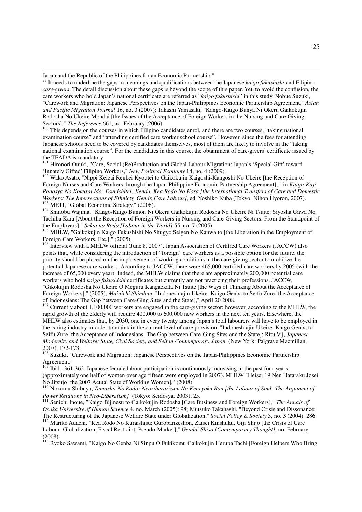Japan and the Republic of the Philippines for an Economic Partnership."

-

<sup>100</sup> This depends on the courses in which Filipino candidates enrol, and there are two courses, "taking national examination course" and "attending certified care worker school course". However, since the fees for attending Japanese schools need to be covered by candidates themselves, most of them are likely to involve in the "taking national examination course". For the candidates in this course, the obtainment of care-givers' certificate issued by the TEADA is mandatory.

<sup>101</sup> Hironori Onuki, "Care, Social (Re)Production and Global Labour Migration: Japan's 'Special Gift' toward 'Innately Gifted' Filipino Workers," *New Political Economy* 14, no. 4 (2009).

<sup>102</sup> Wako Asato, "Nippi Keizai Renkei Kyoutei to Gaikokujin Kaigoshi-Kangoshi No Ukeire [the Reception of Foreign Nurses and Care Workers through the Japan-Philippine Economic Partnership Agreement],," in *Kaigo-Kaji Rodosya No Kokusai Ido: Esunishitei, Jienda, Kea Rodo No Kosa [the International Transfers of Care and Domestic Workers: The Intersections of Ethnicty, Gendr, Care Labour]*, ed. Yoshiko Kuba (Tokyo: Nihon Hyoron, 2007). <sup>103</sup> METI, "Global Economic Strategy," (2006).

<sup>104</sup> Shinobu Wajima, "Kango-Kaigo Bumon Ni Okeru Gaikokujin Rodosha No Ukeire Ni Tsuite: Siyosha Gawa No Tachiba Kara [About the Reception of Foreign Workers in Nursing and Care-Giving Sectors: From the Standpoint of the Employers]," *Sekai no Rodo [Labour in the World]* 55, no. 7 (2005).

<sup>105</sup> MHLW, "Gaikokujin Kaigo Fukushishi No Shugyo Seigen No Kanwa to [the Liberation in the Employment of Foreign Care Workers, Etc.]," (2005).

<sup>106</sup> Interview with a MHLW official (June 8, 2007). Japan Association of Certified Care Workers (JACCW) also posits that, while considering the introduction of "foreign" care workers as a possible option for the future, the priority should be placed on the improvement of working conditions in the care-giving sector to mobilize the potential Japanese care workers. According to JACCW, there were 465,000 certified care workers by 2005 (with the increase of 65,000 every year). Indeed, the MHLW claims that there are approximately 200,000 potential care workers who hold *kaigo fukushishi* certificates but currently are not practicing their professions. JACCW, "Gikokujin Rodosha No Ukeire O Meguru Kangaekata Ni Tsuite [the Ways of Thinking About the Acceptance of Foreign Workers]," (2005); *Mainichi Shimbun*, "Indoneshiajin Ukeire: Kaigo Genba to Seifu Zure [the Acceptance of Indonesians: The Gap between Care-Ging Sites and the State]," April 20 2008.

<sup>107</sup> Currently about 1,100,000 workers are engaged in the care-giving sector; however, according to the MHLW, the rapid growth of the elderly will require 400,000 to 600,000 new workers in the next ten years. Elsewhere, the MHLW also estimates that, by 2030, one in every twenty among Japan's total labourers will have to be employed in the caring industry in order to maintain the current level of care provision. "Indoneshiajin Ukeire: Kaigo Genba to Seifu Zure [the Acceptance of Indonesians: The Gap between Care-Ging Sites and the State]; Ritu Vij, *Japanese Modernity and Welfare: State, Civil Society, and Self in Contemporary Japan* (New York: Palgrave Macmillan, 2007), 172-173.

<sup>108</sup> Suzuki, "Carework and Migration: Japanese Perspectives on the Japan-Philippines Economic Partnership Agreement."

<sup>109</sup> Ibid., 361-362. Japanese female labour participation is continuously increasing in the past four years (approximately one half of women over age fifteen were employed in 2007). MHLW "Heisei 19 Nen Hataraku Josei No Jitsujo [the 2007 Actual State of Working Women]," (2008).

<sup>110</sup> Nozomu Shibuya, *Tamashii No Rodo: Neoriberarizum No Kenryoku Ron [the Labour of Soul: The Argument of Power Relations in Neo-Liberalism]* (Tokyo: Seidosya, 2003), 25.

<sup>111</sup> Senichi Inoue, "Kaigo Bijinesu to Gaikokujin Rodosha [Care Business and Foreign Workers]," *The Annals of Osaka University of Human Science* 4, no. March (2005): 98; Mutsuko Takahashi, "Beyond Crisis and Dissonance: The Restructuring of the Japanese Welfare State under Globalization," *Social Policy & Society* 3, no. 3 (2004): 286.

<sup>112</sup> Mariko Adachi, "Kea Rodo No Kuraishisu: Gurobarizeshon, Zaisei Kinshuku, Giji Shijo [the Crisis of Care Labour: Globalization, Fiscal Restraint, Pseudo-Market]," *Gendai Shiso [Contemporary Thought]*, no. February (2008).

<sup>113</sup> Ryoko Sawami, "Kaigo No Genba Ni Sinpu O Fukikomu Gaikokujin Herupa Tachi [Foreign Helpers Who Bring

<sup>&</sup>lt;sup>99</sup> It needs to underline the gaps in meanings and qualifications between the Japanese *kaigo fukushishi* and Filipino *care-givers*. The detail discussion about these gaps is beyond the scope of this paper. Yet, to avoid the confusion, the care workers who hold Japan's national certificate are referred as "*kaigo fukushishi*" in this study. Nobue Suzuki, "Carework and Migration: Japanese Perspectives on the Japan-Philippines Economic Partnership Agreement," *Asian and Pacific Migration Journal* 16, no. 3 (2007); Takashi Yamasaki, "Kango-Kaigo Bunya Ni Okeru Gaikokujin Rodosha No Ukeire Mondai [the Issues of the Acceptance of Foreign Workers in the Nursing and Care-Giving Sectors]," *The Reference* 661, no. February (2006).